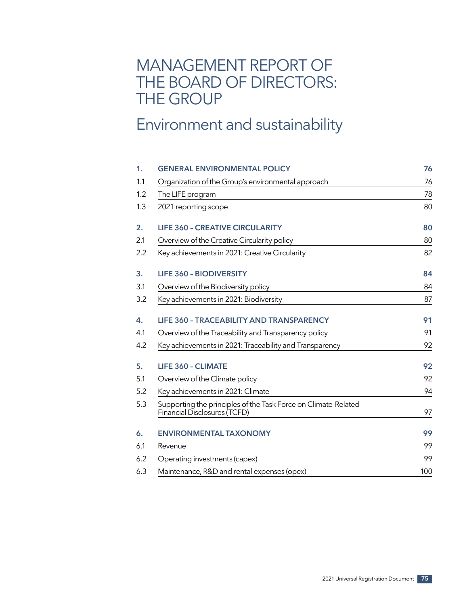# MANAGEMENT REPORT OF THE BOARD OF DIRECTORS: THE GROUP

# Environment and sustainability

| 1.  | <b>GENERAL ENVIRONMENTAL POLICY</b>                                                            | 76  |
|-----|------------------------------------------------------------------------------------------------|-----|
| 1.1 | Organization of the Group's environmental approach                                             | 76  |
| 1.2 | The LIFE program                                                                               | 78  |
| 1.3 | 2021 reporting scope                                                                           | 80  |
| 2.  | <b>LIFE 360 - CREATIVE CIRCULARITY</b>                                                         | 80  |
| 2.1 | Overview of the Creative Circularity policy                                                    | 80  |
| 2.2 | Key achievements in 2021: Creative Circularity                                                 | 82  |
| 3.  | <b>LIFE 360 - BIODIVERSITY</b>                                                                 | 84  |
| 3.1 | Overview of the Biodiversity policy                                                            | 84  |
| 3.2 | Key achievements in 2021: Biodiversity                                                         | 87  |
| 4.  | <b>LIFE 360 - TRACEABILITY AND TRANSPARENCY</b>                                                | 91  |
| 4.1 | Overview of the Traceability and Transparency policy                                           | 91  |
| 4.2 | Key achievements in 2021: Traceability and Transparency                                        | 92  |
| 5.  | <b>LIFE 360 - CLIMATE</b>                                                                      | 92  |
| 5.1 | Overview of the Climate policy                                                                 | 92  |
| 5.2 | Key achievements in 2021: Climate                                                              | 94  |
| 5.3 | Supporting the principles of the Task Force on Climate-Related<br>Financial Disclosures (TCFD) | 97  |
| 6.  | <b>ENVIRONMENTAL TAXONOMY</b>                                                                  | 99  |
| 6.1 | Revenue                                                                                        | 99  |
| 6.2 | Operating investments (capex)                                                                  | 99  |
| 6.3 | Maintenance, R&D and rental expenses (opex)                                                    | 100 |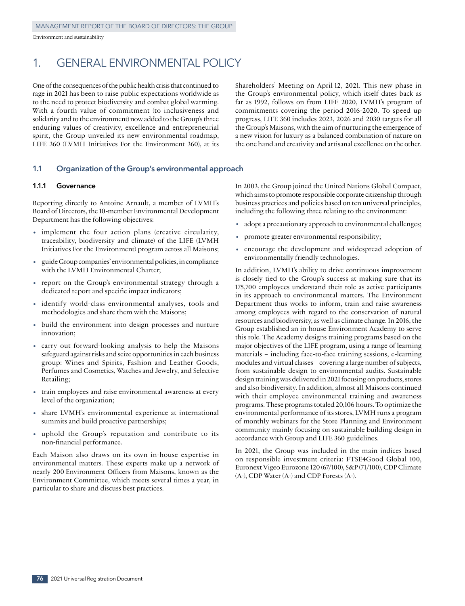# 1. GENERAL ENVIRONMENTAL POLICY

One of the consequences of the public health crisis that continued to rage in 2021 has been to raise public expectations worldwide as to the need to protect biodiversity and combat global warming. With a fourth value of commitment (to inclusiveness and solidarity and to the environment) now added to the Group's three enduring values of creativity, excellence and entrepreneurial spirit, the Group unveiled its new environmental roadmap, LIFE 360 (LVMH Initiatives For the Environment 360), at its Shareholders' Meeting on April 12, 2021. This new phase in the Group's environmental policy, which itself dates back as far as 1992, follows on from LIFE 2020, LVMH's program of commitments covering the period 2016‑2020. To speed up progress, LIFE 360 includes 2023, 2026 and 2030 targets for all the Group's Maisons, with the aim of nurturing the emergence of a new vision for luxury as a balanced combination of nature on the one hand and creativity and artisanal excellence on the other.

### **1.1 Organization of the Group's environmental approach**

#### **1.1.1 Governance**

Reporting directly to Antoine Arnault, a member of LVMH's Board of Directors, the 10‑member Environmental Development Department has the following objectives:

- implement the four action plans (creative circularity, traceability, biodiversity and climate) of the LIFE (LVMH Initiatives For the Environment) program across all Maisons;
- guide Group companies' environmental policies, in compliance with the LVMH Environmental Charter;
- report on the Group's environmental strategy through a dedicated report and specific impact indicators;
- identify world-class environmental analyses, tools and methodologies and share them with the Maisons;
- build the environment into design processes and nurture innovation;
- carry out forward‑looking analysis to help the Maisons safeguard against risks and seize opportunities in each business group: Wines and Spirits, Fashion and Leather Goods, Perfumes and Cosmetics, Watches and Jewelry, and Selective Retailing;
- train employees and raise environmental awareness at every level of the organization;
- share LVMH's environmental experience at international summits and build proactive partnerships;
- uphold the Group's reputation and contribute to its non‑financial performance.

Each Maison also draws on its own in‑house expertise in environmental matters. These experts make up a network of nearly 200 Environment Officers from Maisons, known as the Environment Committee, which meets several times a year, in particular to share and discuss best practices.

In 2003, the Group joined the United Nations Global Compact, which aims to promote responsible corporate citizenship through business practices and policies based on ten universal principles, including the following three relating to the environment:

- adopt a precautionary approach to environmental challenges;
- promote greater environmental responsibility;
- encourage the development and widespread adoption of environmentally friendly technologies.

In addition, LVMH's ability to drive continuous improvement is closely tied to the Group's success at making sure that its 175,700 employees understand their role as active participants in its approach to environmental matters. The Environment Department thus works to inform, train and raise awareness among employees with regard to the conservation of natural resources and biodiversity, as well as climate change. In 2016, the Group established an in‑house Environment Academy to serve this role. The Academy designs training programs based on the major objectives of the LIFE program, using a range of learning materials – including face-to-face training sessions, e-learning modules and virtual classes – covering a large number of subjects, from sustainable design to environmental audits. Sustainable design training was delivered in 2021 focusing on products, stores and also biodiversity. In addition, almost all Maisons continued with their employee environmental training and awareness programs. These programs totaled 20,106 hours. To optimize the environmental performance of its stores, LVMH runs a program of monthly webinars for the Store Planning and Environment community mainly focusing on sustainable building design in accordance with Group and LIFE 360 guidelines.

In 2021, the Group was included in the main indices based on responsible investment criteria: FTSE4Good Global 100, Euronext Vigeo Eurozone 120 (67/100), S&P (71/100), CDP Climate (A-), CDP Water (A-) and CDP Forests (A-).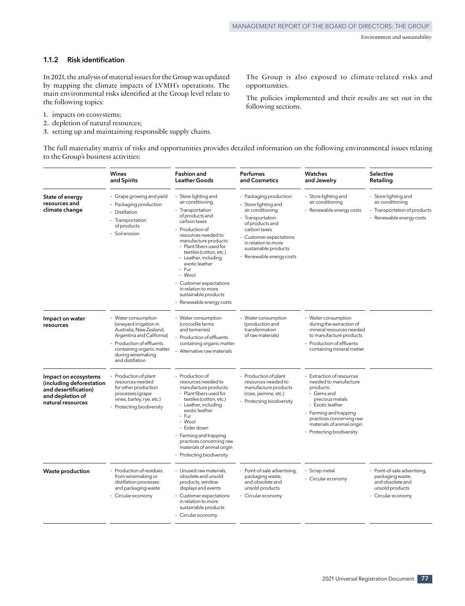# **1.1.2 Risk identification**

In 2021, the analysis of material issues for the Group was updated by mapping the climate impacts of LVMH's operations. The main environmental risks identified at the Group level relate to the following topics:

- **1.** impacts on ecosystems;
- **2.** depletion of natural resources;
- **3.** setting up and maintaining responsible supply chains.

The Group is also exposed to climate-related risks and opportunities.

The policies implemented and their results are set out in the following sections.

The full materiality matrix of risks and opportunities provides detailed information on the following environmental issues relating to the Group's business activities:

|                                                                                                                   | <b>Wines</b><br>and Spirits                                                                                                                                                                               | <b>Fashion and</b><br><b>Leather Goods</b>                                                                                                                                                                                                                                     | <b>Perfumes</b><br>and Cosmetics                                                                                                                                                                                            | Watches<br>and Jewelry                                                                                                                                                                                                              | Selective<br>Retailing                                                                               |
|-------------------------------------------------------------------------------------------------------------------|-----------------------------------------------------------------------------------------------------------------------------------------------------------------------------------------------------------|--------------------------------------------------------------------------------------------------------------------------------------------------------------------------------------------------------------------------------------------------------------------------------|-----------------------------------------------------------------------------------------------------------------------------------------------------------------------------------------------------------------------------|-------------------------------------------------------------------------------------------------------------------------------------------------------------------------------------------------------------------------------------|------------------------------------------------------------------------------------------------------|
| State of energy<br>resources and<br>climate change                                                                | - Grape growing and yield<br>- Packaging production<br>- Distillation<br>- Transportation<br>of products<br>- Soil erosion                                                                                | Store lighting and<br>air conditioning<br>Transportation<br>of products and<br>carbon taxes<br>Production of<br>resources needed to<br>manufacture products:<br>Plant fibers used for<br>textiles (cotton, etc.)<br>Leather, including<br>exotic leather<br>Fur<br>- Wool      | - Packaging production<br>- Store lighting and<br>air conditioning<br>- Transportation<br>of products and<br>carbon taxes<br>Customer expectations<br>in relation to more<br>sustainable products<br>Renewable energy costs | Store lighting and<br>air conditioning<br>Renewable energy costs                                                                                                                                                                    | - Store lighting and<br>air conditioning<br>- Transportation of products<br>- Renewable energy costs |
|                                                                                                                   |                                                                                                                                                                                                           | - Customer expectations<br>in relation to more<br>sustainable products<br>- Renewable energy costs                                                                                                                                                                             |                                                                                                                                                                                                                             |                                                                                                                                                                                                                                     |                                                                                                      |
| Impact on water<br>resources                                                                                      | - Water consumption<br>(vineyard irrigation in<br>Australia, New Zealand,<br>Argentina and California)<br>- Production of effluents<br>containing organic matter<br>during winemaking<br>and distillation | - Water consumption<br>(crocodile farms<br>and tanneries)<br>Production of effluents<br>containing organic matter<br>- Alternative raw materials                                                                                                                               | - Water consumption<br>(production and<br>transformation<br>of raw materials)                                                                                                                                               | - Water consumption<br>during the extraction of<br>mineral resources needed<br>to manufacture products<br>- Production of effluents<br>containing mineral matter                                                                    |                                                                                                      |
| Impact on ecosystems<br>(including deforestation<br>and desertification)<br>and depletion of<br>natural resources | Production of plant<br>resources needed<br>for other production<br>processes (grape<br>vines, barley, rye, etc.)<br>- Protecting biodiversity                                                             | - Production of<br>resources needed to<br>manufacture products:<br>Plant fibers used for<br>textiles (cotton, etc.)<br>Leather, including<br>exotic leather<br>Fur<br>- Wool<br>- Eider down<br>Farming and trapping<br>practices concerning raw<br>materials of animal origin | Production of plant<br>resources needed to<br>manufacture products<br>(rose, jasmine, etc.)<br>Protecting biodiversity                                                                                                      | Extraction of resources<br>needed to manufacture<br>products:<br>- Gems and<br>precious metals<br>- Exotic leather<br>- Farming and trapping<br>practices concerning raw<br>materials of animal origin<br>- Protecting biodiversity |                                                                                                      |
| <b>Waste production</b>                                                                                           | - Production of residues                                                                                                                                                                                  | - Protecting biodiversity<br>- Unused raw materials.                                                                                                                                                                                                                           | - Point-of-sale advertising,                                                                                                                                                                                                | - Scrap metal                                                                                                                                                                                                                       | - Point-of-sale advertising,                                                                         |
|                                                                                                                   | from winemaking or<br>distillation processes<br>and packaging waste<br>- Circular economy                                                                                                                 | obsolete and unsold<br>products, window<br>displays and events<br>Customer expectations                                                                                                                                                                                        | packaging waste,<br>and obsolete and<br>unsold products<br>- Circular economy                                                                                                                                               | - Circular economy                                                                                                                                                                                                                  | packaging waste,<br>and obsolete and<br>unsold products<br>- Circular economy                        |
|                                                                                                                   |                                                                                                                                                                                                           | in relation to more<br>sustainable products<br>- Circular economy                                                                                                                                                                                                              |                                                                                                                                                                                                                             |                                                                                                                                                                                                                                     |                                                                                                      |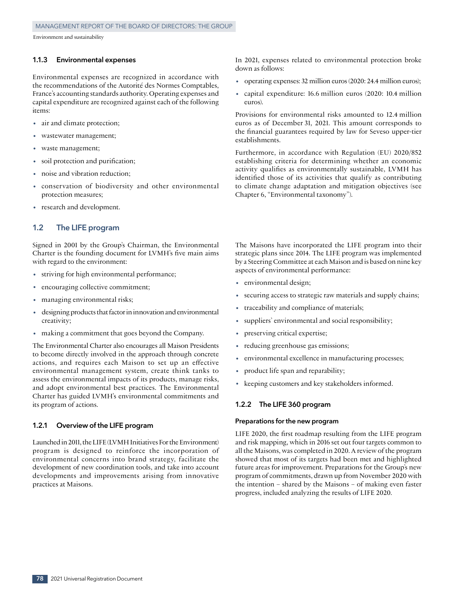#### **1.1.3 Environmental expenses**

Environmental expenses are recognized in accordance with the recommendations of the Autorité des Normes Comptables, France's accounting standards authority. Operating expenses and capital expenditure are recognized against each of the following items:

- air and climate protection;
- wastewater management;
- waste management;
- soil protection and purification;
- noise and vibration reduction;
- conservation of biodiversity and other environmental protection measures;
- research and development.

### **1.2 The LIFE program**

Signed in 2001 by the Group's Chairman, the Environmental Charter is the founding document for LVMH's five main aims with regard to the environment:

- striving for high environmental performance;
- encouraging collective commitment;
- managing environmental risks;
- designing products that factor in innovation and environmental creativity;
- making a commitment that goes beyond the Company.

The Environmental Charter also encourages all Maison Presidents to become directly involved in the approach through concrete actions, and requires each Maison to set up an effective environmental management system, create think tanks to assess the environmental impacts of its products, manage risks, and adopt environmental best practices. The Environmental Charter has guided LVMH's environmental commitments and its program of actions.

#### **1.2.1 Overview of the LIFE program**

Launched in 2011, the LIFE (LVMH Initiatives For the Environment) program is designed to reinforce the incorporation of environmental concerns into brand strategy, facilitate the development of new coordination tools, and take into account developments and improvements arising from innovative practices at Maisons.

In 2021, expenses related to environmental protection broke down as follows:

- operating expenses: 32 million euros (2020: 24.4 million euros);
- capital expenditure: 16.6 million euros (2020: 10.4 million euros).

Provisions for environmental risks amounted to 12.4 million euros as of December 31, 2021. This amount corresponds to the financial guarantees required by law for Seveso upper-tier establishments.

Furthermore, in accordance with Regulation (EU) 2020/852 establishing criteria for determining whether an economic activity qualifies as environmentally sustainable, LVMH has identified those of its activities that qualify as contributing to climate change adaptation and mitigation objectives (see Chapter 6, "Environmental taxonomy").

The Maisons have incorporated the LIFE program into their strategic plans since 2014. The LIFE program was implemented by a Steering Committee at each Maison and is based on nine key aspects of environmental performance:

- environmental design;
- securing access to strategic raw materials and supply chains;
- traceability and compliance of materials;
- suppliers' environmental and social responsibility;
- preserving critical expertise;
- reducing greenhouse gas emissions;
- environmental excellence in manufacturing processes;
- product life span and reparability;
- keeping customers and key stakeholders informed.

#### **1.2.2 The LIFE 360 program**

#### **Preparations for the new program**

LIFE 2020, the first roadmap resulting from the LIFE program and risk mapping, which in 2016 set out four targets common to all the Maisons, was completed in 2020. A review of the program showed that most of its targets had been met and highlighted future areas for improvement. Preparations for the Group's new program of commitments, drawn up from November 2020 with the intention – shared by the Maisons – of making even faster progress, included analyzing the results of LIFE 2020.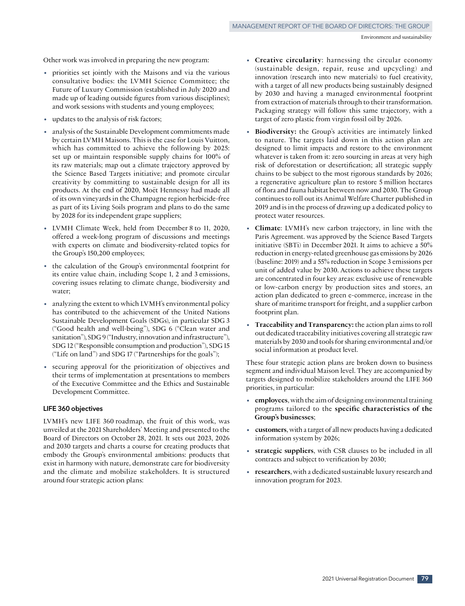Other work was involved in preparing the new program:

- priorities set jointly with the Maisons and via the various consultative bodies: the LVMH Science Committee; the Future of Luxury Commission (established in July 2020 and made up of leading outside figures from various disciplines); and work sessions with students and young employees;
- updates to the analysis of risk factors;
- analysis of the Sustainable Development commitments made by certain LVMH Maisons. This is the case for Louis Vuitton, which has committed to achieve the following by 2025: set up or maintain responsible supply chains for 100% of its raw materials; map out a climate trajectory approved by the Science Based Targets initiative; and promote circular creativity by committing to sustainable design for all its products. At the end of 2020, Moët Hennessy had made all of its own vineyards in the Champagne region herbicide-free as part of its Living Soils program and plans to do the same by 2028 for its independent grape suppliers;
- LVMH Climate Week, held from December <sup>8</sup> to 11, 2020, offered a week-long program of discussions and meetings with experts on climate and biodiversity-related topics for the Group's 150,200 employees;
- the calculation of the Group's environmental footprint for its entire value chain, including Scope 1, 2 and 3 emissions, covering issues relating to climate change, biodiversity and water;
- analyzing the extent to which LVMH's environmental policy has contributed to the achievement of the United Nations Sustainable Development Goals (SDGs), in particular SDG 3 ("Good health and well‑being"), SDG 6 ("Clean water and sanitation"), SDG 9 ("Industry, innovation and infrastructure"), SDG 12 ("Responsible consumption and production"), SDG 15 ("Life on land") and SDG 17 ("Partnerships for the goals");
- securing approval for the prioritization of objectives and their terms of implementation at presentations to members of the Executive Committee and the Ethics and Sustainable Development Committee.

#### **LIFE 360 objectives**

LVMH's new LIFE 360 roadmap, the fruit of this work, was unveiled at the 2021 Shareholders' Meeting and presented to the Board of Directors on October 28, 2021. It sets out 2023, 2026 and 2030 targets and charts a course for creating products that embody the Group's environmental ambitions: products that exist in harmony with nature, demonstrate care for biodiversity and the climate and mobilize stakeholders. It is structured around four strategic action plans:

- **Creative circularity**: harnessing the circular economy (sustainable design, repair, reuse and upcycling) and innovation (research into new materials) to fuel creativity, with a target of all new products being sustainably designed by 2030 and having a managed environmental footprint from extraction of materials through to their transformation. Packaging strategy will follow this same trajectory, with a target of zero plastic from virgin fossil oil by 2026.
- **Biodiversity:** the Group's activities are intimately linked to nature. The targets laid down in this action plan are designed to limit impacts and restore to the environment whatever is taken from it: zero sourcing in areas at very high risk of deforestation or desertification; all strategic supply chains to be subject to the most rigorous standards by 2026; a regenerative agriculture plan to restore 5 million hectares of flora and fauna habitat between now and 2030. The Group continues to roll out its Animal Welfare Charter published in 2019 and is in the process of drawing up a dedicated policy to protect water resources.
- **Climate**: LVMH's new carbon trajectory, in line with the Paris Agreement. was approved by the Science Based Targets initiative (SBTi) in December 2021. It aims to achieve a 50% reduction in energy‑related greenhouse gas emissions by 2026 (baseline: 2019) and a 55% reduction in Scope 3 emissions per unit of added value by 2030. Actions to achieve these targets are concentrated in four key areas: exclusive use of renewable or low‑carbon energy by production sites and stores, an action plan dedicated to green e‑commerce, increase in the share of maritime transport for freight, and a supplier carbon footprint plan.
- **Traceability and Transparency:** the action plan aims to roll out dedicated traceability initiatives covering all strategic raw materials by 2030 and tools for sharing environmental and/or social information at product level.

These four strategic action plans are broken down to business segment and individual Maison level. They are accompanied by targets designed to mobilize stakeholders around the LIFE 360 priorities, in particular:

- **employees**, with the aim of designing environmental training programs tailored to the **specific characteristics of the Group's businesses**;
- **customers**, with a target of all new products having a dedicated information system by 2026;
- **strategic suppliers**, with CSR clauses to be included in all contracts and subject to verification by 2030;
- **researchers**, with a dedicated sustainable luxury research and innovation program for 2023.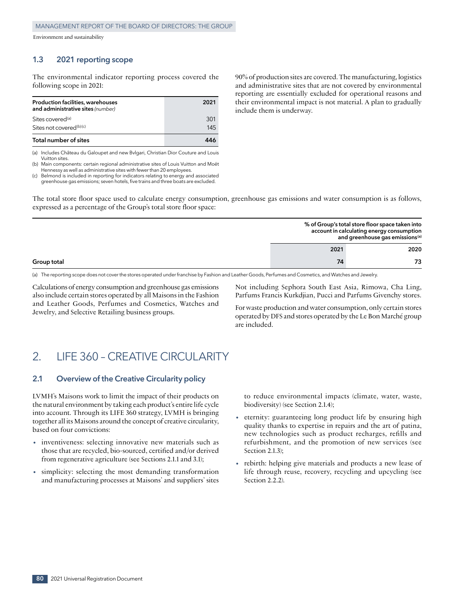# **1.3 2021 reporting scope**

The environmental indicator reporting process covered the following scope in 2021:

| Production facilities, warehouses<br>and administrative sites (number) | 2021 |
|------------------------------------------------------------------------|------|
| Sites covered <sup>(a)</sup>                                           | 301  |
| Sites not covered(b)(c)                                                | 145  |
| Total number of sites                                                  |      |

(a) Includes Château du Galoupet and new Bvlgari, Christian Dior Couture and Louis Vuitton sites.

(b) Main components: certain regional administrative sites of Louis Vuitton and Moët Hennessy as well as administrative sites with fewer than 20 employees.

(c) Belmond is included in reporting for indicators relating to energy and associated greenhouse gas emissions; seven hotels, five trains and three boats are excluded.

90% of production sites are covered. The manufacturing, logistics and administrative sites that are not covered by environmental reporting are essentially excluded for operational reasons and their environmental impact is not material. A plan to gradually include them is underway.

The total store floor space used to calculate energy consumption, greenhouse gas emissions and water consumption is as follows, expressed as a percentage of the Group's total store floor space:

|             | % of Group's total store floor space taken into<br>account in calculating energy consumption<br>and greenhouse gas emissions <sup>(a)</sup> |  |  |
|-------------|---------------------------------------------------------------------------------------------------------------------------------------------|--|--|
|             | 2021<br>2020                                                                                                                                |  |  |
| Group total | 74                                                                                                                                          |  |  |

(a) The reporting scope does not cover the stores operated under franchise by Fashion and Leather Goods, Perfumes and Cosmetics, and Watches and Jewelry.

Calculations of energy consumption and greenhouse gas emissions also include certain stores operated by all Maisons in the Fashion and Leather Goods, Perfumes and Cosmetics, Watches and Jewelry, and Selective Retailing business groups.

Not including Sephora South East Asia, Rimowa, Cha Ling, Parfums Francis Kurkdjian, Pucci and Parfums Givenchy stores.

For waste production and water consumption, only certain stores operated by DFS and stores operated by the Le Bon Marché group are included.

# 2. LIFE 360 – CREATIVE CIRCULARITY

## **2.1 Overview of the Creative Circularity policy**

LVMH's Maisons work to limit the impact of their products on the natural environment by taking each product's entire life cycle into account. Through its LIFE 360 strategy, LVMH is bringing together all its Maisons around the concept of creative circularity, based on four convictions:

- inventiveness: selecting innovative new materials such as those that are recycled, bio‑sourced, certified and/or derived from regenerative agriculture (see Sections 2.1.1 and 3.1);
- simplicity: selecting the most demanding transformation and manufacturing processes at Maisons' and suppliers' sites

to reduce environmental impacts (climate, water, waste, biodiversity) (see Section 2.1.4);

- eternity: guaranteeing long product life by ensuring high quality thanks to expertise in repairs and the art of patina, new technologies such as product recharges, refills and refurbishment, and the promotion of new services (see Section 2.1.3):
- rebirth: helping give materials and products a new lease of life through reuse, recovery, recycling and upcycling (see Section 2.2.2).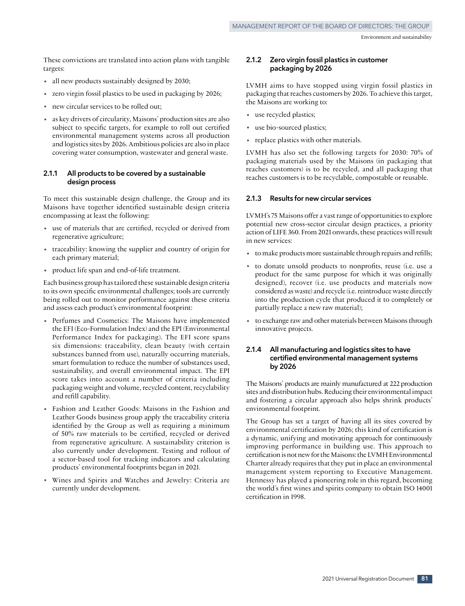These convictions are translated into action plans with tangible targets:

- all new products sustainably designed by 2030;
- zero virgin fossil plastics to be used in packaging by 2026;
- new circular services to be rolled out;
- as key drivers of circularity, Maisons' production sites are also subject to specific targets, for example to roll out certified environmental management systems across all production and logistics sites by 2026. Ambitious policies are also in place covering water consumption, wastewater and general waste.

#### **2.1.1 All products to be covered by a sustainable design process**

To meet this sustainable design challenge, the Group and its Maisons have together identified sustainable design criteria encompassing at least the following:

- use of materials that are certified, recycled or derived from regenerative agriculture;
- traceability: knowing the supplier and country of origin for each primary material;
- product life span and end-of-life treatment.

Each business group has tailored these sustainable design criteria to its own specific environmental challenges; tools are currently being rolled out to monitor performance against these criteria and assess each product's environmental footprint:

- Perfumes and Cosmetics: The Maisons have implemented the EFI (Eco-Formulation Index) and the EPI (Environmental Performance Index for packaging). The EFI score spans six dimensions: traceability, clean beauty (with certain substances banned from use), naturally occurring materials, smart formulation to reduce the number of substances used, sustainability, and overall environmental impact. The EPI score takes into account a number of criteria including packaging weight and volume, recycled content, recyclability and refill capability.
- Fashion and Leather Goods: Maisons in the Fashion and Leather Goods business group apply the traceability criteria identified by the Group as well as requiring a minimum of 50% raw materials to be certified, recycled or derived from regenerative agriculture. A sustainability criterion is also currently under development. Testing and rollout of a sector-based tool for tracking indicators and calculating products' environmental footprints began in 2021.
- Wines and Spirits and Watches and Jewelry: Criteria are currently under development.

### **2.1.2 Zero virgin fossil plastics in customer packaging by 2026**

LVMH aims to have stopped using virgin fossil plastics in packaging that reaches customers by 2026. To achieve this target, the Maisons are working to:

- use recycled plastics;
- use bio-sourced plastics;
- replace plastics with other materials.

LVMH has also set the following targets for 2030: 70% of packaging materials used by the Maisons (in packaging that reaches customers) is to be recycled, and all packaging that reaches customers is to be recyclable, compostable or reusable.

## **2.1.3 Results for new circular services**

LVMH's 75 Maisons offer a vast range of opportunities to explore potential new cross‑sector circular design practices, a priority action of LIFE 360. From 2021 onwards, these practices will result in new services:

- to make products more sustainable through repairs and refills;
- to donate unsold products to nonprofits, reuse (i.e. use a product for the same purpose for which it was originally designed), recover (i.e. use products and materials now considered as waste) and recycle (i.e. reintroduce waste directly into the production cycle that produced it to completely or partially replace a new raw material);
- to exchange raw and other materials between Maisons through innovative projects.

### **2.1.4 All manufacturing and logistics sites to have certified environmental management systems by 2026**

The Maisons' products are mainly manufactured at 222 production sites and distribution hubs. Reducing their environmental impact and fostering a circular approach also helps shrink products' environmental footprint.

The Group has set a target of having all its sites covered by environmental certification by 2026; this kind of certification is a dynamic, unifying and motivating approach for continuously improving performance in building use. This approach to certification is not new for the Maisons: the LVMH Environmental Charter already requires that they put in place an environmental management system reporting to Executive Management. Hennessy has played a pioneering role in this regard, becoming the world's first wines and spirits company to obtain ISO 14001 certification in 1998.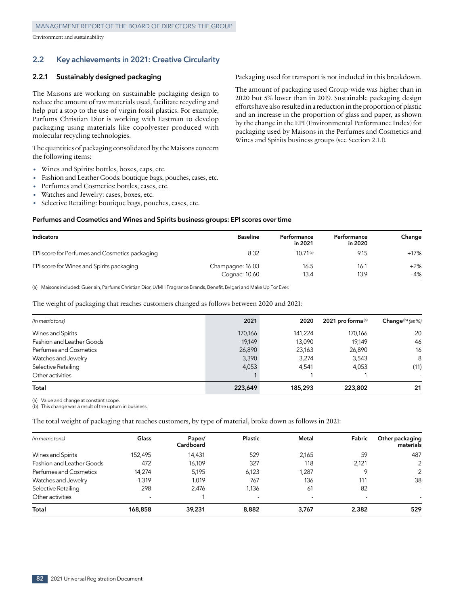# **2.2 Key achievements in 2021: Creative Circularity**

#### **2.2.1 Sustainably designed packaging**

The Maisons are working on sustainable packaging design to reduce the amount of raw materials used, facilitate recycling and help put a stop to the use of virgin fossil plastics. For example, Parfums Christian Dior is working with Eastman to develop packaging using materials like copolyester produced with molecular recycling technologies.

The quantities of packaging consolidated by the Maisons concern the following items:

- Wines and Spirits: bottles, boxes, caps, etc.<br>• Fashion and Leather Goods: boutique bags.
- Fashion and Leather Goods: boutique bags, pouches, cases, etc.
- Perfumes and Cosmetics: bottles, cases, etc.
- Watches and Jewelry: cases, boxes, etc.
- Selective Retailing: boutique bags, pouches, cases, etc.

#### **Perfumes and Cosmetics and Wines and Spirits business groups: EPI scores over time**

| Indicators                                     | <b>Baseline</b>  | Performance<br>in 2021 | Performance<br>in 2020 | Change |
|------------------------------------------------|------------------|------------------------|------------------------|--------|
| EPI score for Perfumes and Cosmetics packaging | 8.32             | $10.71^{(a)}$          | 9.15                   | $+17%$ |
| EPI score for Wines and Spirits packaging      | Champagne: 16.03 | 16.5                   | 16.1                   | $+2%$  |
|                                                | Cognac: 10.60    | 13.4                   | 13.9                   | $-4%$  |

(a) Maisons included: Guerlain, Parfums Christian Dior, LVMH Fragrance Brands, Benefit, Bvlgari and Make Up For Ever.

The weight of packaging that reaches customers changed as follows between 2020 and 2021:

| (in metric tons)          | 2021    | 2020    | 2021 pro forma $(a)$ | Change(b) (as $\%$ )     |
|---------------------------|---------|---------|----------------------|--------------------------|
|                           |         |         |                      |                          |
| Wines and Spirits         | 170,166 | 141,224 | 170,166              | 20                       |
| Fashion and Leather Goods | 19.149  | 13,090  | 19.149               | 46                       |
| Perfumes and Cosmetics    | 26,890  | 23,163  | 26,890               | 16                       |
| Watches and Jewelry       | 3,390   | 3,274   | 3,543                | 8                        |
| Selective Retailing       | 4,053   | 4.541   | 4,053                | (11)                     |
| Other activities          |         |         |                      | $\overline{\phantom{a}}$ |
| Total                     | 223,649 | 185,293 | 223,802              | 21                       |

(a) Value and change at constant scope.

(b) This change was a result of the upturn in business.

The total weight of packaging that reaches customers, by type of material, broke down as follows in 2021:

| (in metric tons)          | Glass                    | Paper/<br>Cardboard | Plastic                  | Metal                    | Fabric                   | Other packaging<br>materials |
|---------------------------|--------------------------|---------------------|--------------------------|--------------------------|--------------------------|------------------------------|
| Wines and Spirits         | 152,495                  | 14,431              | 529                      | 2,165                    | 59                       | 487                          |
| Fashion and Leather Goods | 472                      | 16,109              | 327                      | 118                      | 2,121                    | 2                            |
| Perfumes and Cosmetics    | 14,274                   | 5,195               | 6,123                    | 1,287                    |                          | 2                            |
| Watches and Jewelry       | 1,319                    | 1.019               | 767                      | 136                      | 111                      | 38                           |
| Selective Retailing       | 298                      | 2.476               | 1,136                    | 61                       | 82                       |                              |
| Other activities          | $\overline{\phantom{a}}$ |                     | $\overline{\phantom{a}}$ | $\overline{\phantom{a}}$ | $\overline{\phantom{a}}$ |                              |
| Total                     | 168,858                  | 39,231              | 8,882                    | 3.767                    | 2,382                    | 529                          |

Packaging used for transport is not included in this breakdown.

The amount of packaging used Group‑wide was higher than in 2020 but 5% lower than in 2019. Sustainable packaging design efforts have also resulted in a reduction in the proportion of plastic and an increase in the proportion of glass and paper, as shown by the change in the EPI (Environmental Performance Index) for packaging used by Maisons in the Perfumes and Cosmetics and Wines and Spirits business groups (see Section 2.1.1).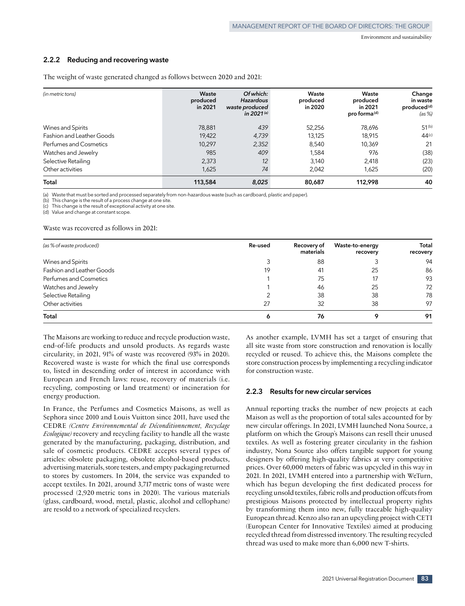#### **2.2.2 Reducing and recovering waste**

| (in metric tons)          | Waste<br>produced<br>in 2021 | Of which:<br><b>Hazardous</b><br>waste produced<br>in 2021 $(a)$ | Waste<br>produced<br>in 2020 | Waste<br>produced<br>in 2021<br>pro forma <sup>(d)</sup> | Change<br>in waste<br>produced <sup>(d)</sup><br>(as %) |  |  |  |  |  |  |  |  |  |  |  |  |       |       |        |    |
|---------------------------|------------------------------|------------------------------------------------------------------|------------------------------|----------------------------------------------------------|---------------------------------------------------------|--|--|--|--|--|--|--|--|--|--|--|--|-------|-------|--------|----|
| Wines and Spirits         | 78,881                       | 439                                                              | 52,256                       | 78,696                                                   | 51 <sup>(b)</sup>                                       |  |  |  |  |  |  |  |  |  |  |  |  |       |       |        |    |
| Fashion and Leather Goods | 19,422                       | 4,739                                                            | 13,125                       | 18,915                                                   | 44(c)                                                   |  |  |  |  |  |  |  |  |  |  |  |  |       |       |        |    |
| Perfumes and Cosmetics    | 10.297                       |                                                                  |                              |                                                          |                                                         |  |  |  |  |  |  |  |  |  |  |  |  | 2,352 | 8.540 | 10.369 | 21 |
| Watches and Jewelry       | 985                          | 409                                                              | 1,584                        | 976                                                      | (38)                                                    |  |  |  |  |  |  |  |  |  |  |  |  |       |       |        |    |
| Selective Retailing       | 2,373                        | 12                                                               | 3,140                        | 2,418                                                    | (23)                                                    |  |  |  |  |  |  |  |  |  |  |  |  |       |       |        |    |
| Other activities          | 1,625                        | 74                                                               | 2.042                        | 1,625                                                    | (20)                                                    |  |  |  |  |  |  |  |  |  |  |  |  |       |       |        |    |
| Total                     | 113,584                      | 8,025                                                            | 80,687                       | 112,998                                                  | 40                                                      |  |  |  |  |  |  |  |  |  |  |  |  |       |       |        |    |

The weight of waste generated changed as follows between 2020 and 2021:

(a) Waste that must be sorted and processed separately from non‑hazardous waste (such as cardboard, plastic and paper).

(b) This change is the result of a process change at one site.

This change is the result of exceptional activity at one site.

(d) Value and change at constant scope.

#### Waste was recovered as follows in 2021:

| (as % of waste produced)  | Re-used | Recovery of<br>materials | Waste-to-energy<br>recovery | <b>Total</b><br>recovery |
|---------------------------|---------|--------------------------|-----------------------------|--------------------------|
| Wines and Spirits         |         | 88                       |                             | 94                       |
| Fashion and Leather Goods | 19      | 41                       | 25                          | 86                       |
| Perfumes and Cosmetics    |         | 75                       | 17                          | 93<br>72                 |
| Watches and Jewelry       |         | 46                       | 25                          |                          |
| Selective Retailing       |         | 38                       | 38                          | 78                       |
| Other activities          | 27      | 32                       | 38                          | 97                       |
| Total                     |         | 76                       |                             | 91                       |

The Maisons are working to reduce and recycle production waste, end-of-life products and unsold products. As regards waste circularity, in 2021, 91% of waste was recovered (93% in 2020). Recovered waste is waste for which the final use corresponds to, listed in descending order of interest in accordance with European and French laws: reuse, recovery of materials (i.e. recycling, composting or land treatment) or incineration for energy production.

In France, the Perfumes and Cosmetics Maisons, as well as Sephora since 2010 and Louis Vuitton since 2011, have used the CEDRE *(Centre Environnemental de Déconditionnement, Recyclage Ecologique)* recovery and recycling facility to handle all the waste generated by the manufacturing, packaging, distribution, and sale of cosmetic products. CEDRE accepts several types of articles: obsolete packaging, obsolete alcohol-based products, advertising materials, store testers, and empty packaging returned to stores by customers. In 2014, the service was expanded to accept textiles. In 2021, around 3,717 metric tons of waste were processed (2,920 metric tons in 2020). The various materials (glass, cardboard, wood, metal, plastic, alcohol and cellophane) are resold to a network of specialized recyclers.

As another example, LVMH has set a target of ensuring that all site waste from store construction and renovation is locally recycled or reused. To achieve this, the Maisons complete the store construction process by implementing a recycling indicator for construction waste.

#### **2.2.3 Results for new circular services**

Annual reporting tracks the number of new projects at each Maison as well as the proportion of total sales accounted for by new circular offerings. In 2021, LVMH launched Nona Source, a platform on which the Group's Maisons can resell their unused textiles. As well as fostering greater circularity in the fashion industry, Nona Source also offers tangible support for young designers by offering high-quality fabrics at very competitive prices. Over 60,000 meters of fabric was upcycled in this way in 2021. In 2021, LVMH entered into a partnership with WeTurn, which has begun developing the first dedicated process for recycling unsold textiles, fabric rolls and production offcuts from prestigious Maisons protected by intellectual property rights by transforming them into new, fully traceable high-quality European thread. Kenzo also ran an upcycling project with CETI (European Center for Innovative Textiles) aimed at producing recycled thread from distressed inventory. The resulting recycled thread was used to make more than 6,000 new T-shirts.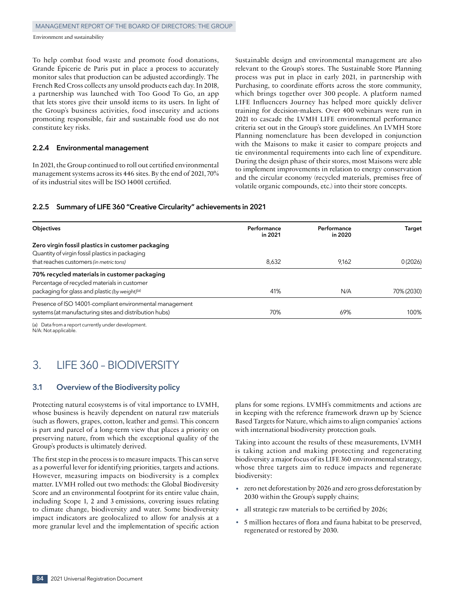To help combat food waste and promote food donations, Grande Épicerie de Paris put in place a process to accurately monitor sales that production can be adjusted accordingly. The French Red Cross collects any unsold products each day. In 2018, a partnership was launched with Too Good To Go, an app that lets stores give their unsold items to its users. In light of the Group's business activities, food insecurity and actions promoting responsible, fair and sustainable food use do not constitute key risks.

#### **2.2.4 Environmental management**

In 2021, the Group continued to roll out certified environmental management systems across its 446 sites. By the end of 2021, 70% of its industrial sites will be ISO 14001 certified.

Sustainable design and environmental management are also relevant to the Group's stores. The Sustainable Store Planning process was put in place in early 2021, in partnership with Purchasing, to coordinate efforts across the store community, which brings together over 300 people. A platform named LIFE Influencers Journey has helped more quickly deliver training for decision‑makers. Over 400 webinars were run in 2021 to cascade the LVMH LIFE environmental performance criteria set out in the Group's store guidelines. An LVMH Store Planning nomenclature has been developed in conjunction with the Maisons to make it easier to compare projects and tie environmental requirements into each line of expenditure. During the design phase of their stores, most Maisons were able to implement improvements in relation to energy conservation and the circular economy (recycled materials, premises free of volatile organic compounds, etc.) into their store concepts.

### **2.2.5 Summary of LIFE 360 "Creative Circularity" achievements in 2021**

| Performance<br>in 2021 | Performance<br>in 2020 | Target     |
|------------------------|------------------------|------------|
|                        |                        |            |
|                        |                        |            |
| 8,632                  | 9,162                  | 0(2026)    |
|                        |                        |            |
|                        |                        |            |
| 41%                    | N/A                    | 70% (2030) |
|                        |                        |            |
| 70%                    | 69%                    | 100%       |
|                        |                        |            |

(a) Data from a report currently under development. N/A: Not applicable.

# 3. LIFE 360 – BIODIVERSITY

# **3.1 Overview of the Biodiversity policy**

Protecting natural ecosystems is of vital importance to LVMH, whose business is heavily dependent on natural raw materials (such as flowers, grapes, cotton, leather and gems). This concern is part and parcel of a long‑term view that places a priority on preserving nature, from which the exceptional quality of the Group's products is ultimately derived.

The first step in the process is to measure impacts. This can serve as a powerful lever for identifying priorities, targets and actions. However, measuring impacts on biodiversity is a complex matter. LVMH rolled out two methods: the Global Biodiversity Score and an environmental footprint for its entire value chain, including Scope 1, 2 and 3 emissions, covering issues relating to climate change, biodiversity and water. Some biodiversity impact indicators are geolocalized to allow for analysis at a more granular level and the implementation of specific action plans for some regions. LVMH's commitments and actions are in keeping with the reference framework drawn up by Science Based Targets for Nature, which aims to align companies' actions with international biodiversity protection goals.

Taking into account the results of these measurements, LVMH is taking action and making protecting and regenerating biodiversity a major focus of its LIFE 360 environmental strategy, whose three targets aim to reduce impacts and regenerate biodiversity:

- zero net deforestation by 2026 and zero gross deforestation by 2030 within the Group's supply chains;
- all strategic raw materials to be certified by 2026;
- <sup>5</sup> million hectares of flora and fauna habitat to be preserved, regenerated or restored by 2030.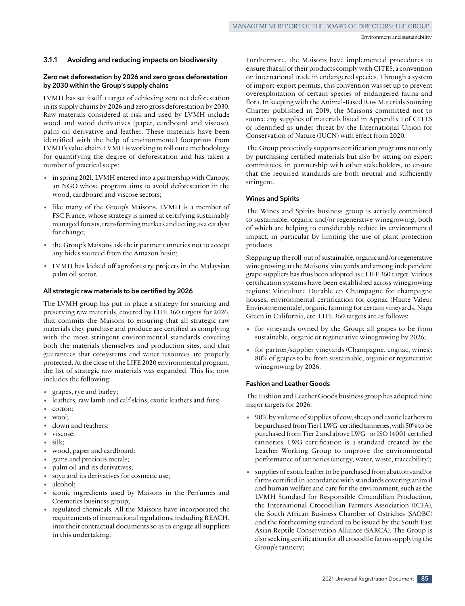#### **3.1.1 Avoiding and reducing impacts on biodiversity**

#### **Zero net deforestation by 2026 and zero gross deforestation by 2030 within the Group's supply chains**

LVMH has set itself a target of achieving zero net deforestation in its supply chains by 2026 and zero gross deforestation by 2030. Raw materials considered at risk and used by LVMH include wood and wood derivatives (paper, cardboard and viscose), palm oil derivative and leather. These materials have been identified with the help of environmental footprints from LVMH's value chain. LVMH is working to roll out a methodology for quantifying the degree of deforestation and has taken a number of practical steps:

- in spring 2021, LVMH entered into a partnership with Canopy, an NGO whose program aims to avoid deforestation in the wood, cardboard and viscose sectors;
- like many of the Group's Maisons, LVMH is a member of FSC France, whose strategy is aimed at certifying sustainably managed forests, transforming markets and acting as a catalyst for change;
- the Group's Maisons ask their partner tanneries not to accept any hides sourced from the Amazon basin;
- LVMH has kicked off agroforestry projects in the Malaysian palm oil sector.

#### **All strategic raw materials to be certified by 2026**

The LVMH group has put in place a strategy for sourcing and preserving raw materials, covered by LIFE 360 targets for 2026, that commits the Maisons to ensuring that all strategic raw materials they purchase and produce are certified as complying with the most stringent environmental standards covering both the materials themselves and production sites, and that guarantees that ecosystems and water resources are properly protected. At the close of the LIFE 2020 environmental program, the list of strategic raw materials was expanded. This list now includes the following:

- grapes, rye and barley;
- leathers, raw lamb and calf skins, exotic leathers and furs;
- cotton;
- wool;
- down and feathers;
- viscose;
- silk;
- wood, paper and cardboard;
- gems and precious metals;
- palm oil and its derivatives;
- soya and its derivatives for cosmetic use;
- alcohol;
- iconic ingredients used by Maisons in the Perfumes and Cosmetics business group;
- regulated chemicals. All the Maisons have incorporated the requirements of international regulations, including REACH, into their contractual documents so as to engage all suppliers in this undertaking.

Furthermore, the Maisons have implemented procedures to ensure that all of their products comply with CITES, a convention on international trade in endangered species. Through a system of import‑export permits, this convention was set up to prevent overexploitation of certain species of endangered fauna and flora. In keeping with the Animal-Based Raw Materials Sourcing Charter published in 2019, the Maisons committed not to source any supplies of materials listed in Appendix 1 of CITES or identified as under threat by the International Union for Conservation of Nature (IUCN) with effect from 2020.

The Group proactively supports certification programs not only by purchasing certified materials but also by sitting on expert committees, in partnership with other stakeholders, to ensure that the required standards are both neutral and sufficiently stringent.

#### **Wines and Spirits**

The Wines and Spirits business group is actively committed to sustainable, organic and/or regenerative winegrowing, both of which are helping to considerably reduce its environmental impact, in particular by limiting the use of plant protection products.

Stepping up the roll-out of sustainable, organic and/or regenerative winegrowing at the Maisons' vineyards and among independent grape suppliers has thus been adopted as a LIFE 360 target. Various certification systems have been established across winegrowing regions: Viticulture Durable en Champagne for champagne houses, environmental certification for cognac (Haute Valeur Environnementale), organic farming for certain vineyards, Napa Green in California, etc. LIFE 360 targets are as follows:

- for vineyards owned by the Group: all grapes to be from sustainable, organic or regenerative winegrowing by 2026;
- for partner/supplier vineyards (Champagne, cognac, wines): 80% of grapes to be from sustainable, organic or regenerative winegrowing by 2026.

#### **Fashion and Leather Goods**

The Fashion and Leather Goods business group has adopted nine major targets for 2026:

- 90% by volume of supplies of cow, sheep and exotic leathers to be purchased from Tier 1 LWG-certified tanneries, with 50% to be purchased from Tier 2 and above LWG- or ISO 14001-certified tanneries. LWG certification is a standard created by the Leather Working Group to improve the environmental performance of tanneries (energy, water, waste, traceability);
- supplies of exotic leather to be purchased from abattoirs and/or farms certified in accordance with standards covering animal and human welfare and care for the environment, such as the LVMH Standard for Responsible Crocodilian Production, the International Crocodilian Farmers Association (ICFA), the South African Business Chamber of Ostriches (SAOBC) and the forthcoming standard to be issued by the South East Asian Reptile Conservation Alliance (SARCA). The Group is also seeking certification for all crocodile farms supplying the Group's tannery;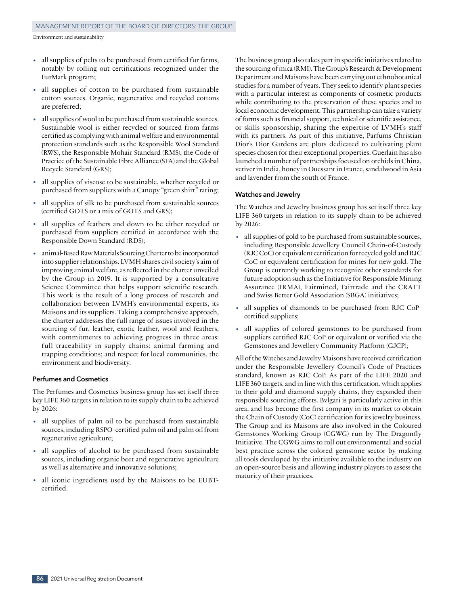- all supplies of pelts to be purchased from certified fur farms, notably by rolling out certifications recognized under the FurMark program;
- all supplies of cotton to be purchased from sustainable cotton sources. Organic, regenerative and recycled cottons are preferred;
- all supplies of wool to be purchased from sustainable sources. Sustainable wool is either recycled or sourced from farms certified as complying with animal welfare and environmental protection standards such as the Responsible Wool Standard (RWS), the Responsible Mohair Standard (RMS), the Code of Practice of the Sustainable Fibre Alliance (SFA) and the Global Recycle Standard (GRS);
- all supplies of viscose to be sustainable, whether recycled or purchased from suppliers with a Canopy "green shirt" rating;
- all supplies of silk to be purchased from sustainable sources (certified GOTS or a mix of GOTS and GRS);
- all supplies of feathers and down to be either recycled or purchased from suppliers certified in accordance with the Responsible Down Standard (RDS);
- animal-Based Raw Materials Sourcing Charter to be incorporated into supplier relationships. LVMH shares civil society's aim of improving animal welfare, as reflected in the charter unveiled by the Group in 2019. It is supported by a consultative Science Committee that helps support scientific research. This work is the result of a long process of research and collaboration between LVMH's environmental experts, its Maisons and its suppliers. Taking a comprehensive approach, the charter addresses the full range of issues involved in the sourcing of fur, leather, exotic leather, wool and feathers, with commitments to achieving progress in three areas: full traceability in supply chains; animal farming and trapping conditions; and respect for local communities, the environment and biodiversity.

#### **Perfumes and Cosmetics**

The Perfumes and Cosmetics business group has set itself three key LIFE 360 targets in relation to its supply chain to be achieved by 2026:

- all supplies of palm oil to be purchased from sustainable sources, including RSPO-certified palm oil and palm oil from regenerative agriculture;
- all supplies of alcohol to be purchased from sustainable sources, including organic beet and regenerative agriculture as well as alternative and innovative solutions;
- all iconic ingredients used by the Maisons to be EUBTcertified.

The business group also takes part in specific initiatives related to the sourcing of mica (RMI). The Group's Research & Development Department and Maisons have been carrying out ethnobotanical studies for a number of years. They seek to identify plant species with a particular interest as components of cosmetic products while contributing to the preservation of these species and to local economic development. This partnership can take a variety of forms such as financial support, technical or scientific assistance, or skills sponsorship, sharing the expertise of LVMH's staff with its partners. As part of this initiative, Parfums Christian Dior's Dior Gardens are plots dedicated to cultivating plant species chosen for their exceptional properties. Guerlain has also launched a number of partnerships focused on orchids in China, vetiver in India, honey in Ouessant in France, sandalwood in Asia and lavender from the south of France.

#### **Watches and Jewelry**

The Watches and Jewelry business group has set itself three key LIFE 360 targets in relation to its supply chain to be achieved by 2026:

- all supplies of gold to be purchased from sustainable sources, including Responsible Jewellery Council Chain‑of-Custody (RJC CoC) or equivalent certification for recycled gold and RJC CoC or equivalent certification for mines for new gold. The Group is currently working to recognize other standards for future adoption such as the Initiative for Responsible Mining Assurance (IRMA), Fairmined, Fairtrade and the CRAFT and Swiss Better Gold Association (SBGA) initiatives;
- all supplies of diamonds to be purchased from RJC CoPcertified suppliers;
- all supplies of colored gemstones to be purchased from suppliers certified RJC CoP or equivalent or verified via the Gemstones and Jewellery Community Platform (GJCP);

All of the Watches and Jewelry Maisons have received certification under the Responsible Jewellery Council's Code of Practices standard, known as RJC CoP. As part of the LIFE 2020 and LIFE 360 targets, and in line with this certification, which applies to their gold and diamond supply chains, they expanded their responsible sourcing efforts. Bvlgari is particularly active in this area, and has become the first company in its market to obtain the Chain of Custody (CoC) certification for its jewelry business. The Group and its Maisons are also involved in the Coloured Gemstones Working Group (CGWG) run by The Dragonfly Initiative. The CGWG aims to roll out environmental and social best practice across the colored gemstone sector by making all tools developed by the initiative available to the industry on an open‑source basis and allowing industry players to assess the maturity of their practices.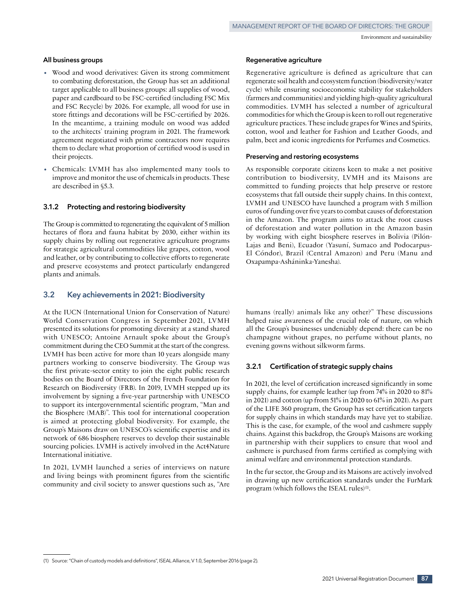# **All business groups**

- Wood and wood derivatives: Given its strong commitment to combating deforestation, the Group has set an additional target applicable to all business groups: all supplies of wood, paper and cardboard to be FSC-certified (including FSC Mix and FSC Recycle) by 2026. For example, all wood for use in store fittings and decorations will be FSC-certified by 2026. In the meantime, a training module on wood was added to the architects' training program in 2021. The framework agreement negotiated with prime contractors now requires them to declare what proportion of certified wood is used in their projects.
- Chemicals: LVMH has also implemented many tools to improve and monitor the use of chemicals in products. These are described in §5.3.

# **3.1.2 Protecting and restoring biodiversity**

The Group is committed to regenerating the equivalent of 5million hectares of flora and fauna habitat by 2030, either within its supply chains by rolling out regenerative agriculture programs for strategic agricultural commodities like grapes, cotton, wool and leather, or by contributing to collective efforts to regenerate and preserve ecosystems and protect particularly endangered plants and animals.

# **3.2 Key achievements in 2021: Biodiversity**

At the IUCN (International Union for Conservation of Nature) World Conservation Congress in September 2021, LVMH presented its solutions for promoting diversity at a stand shared with UNESCO; Antoine Arnault spoke about the Group's commitment during the CEO Summit at the start of the congress. LVMH has been active for more than 10 years alongside many partners working to conserve biodiversity. The Group was the first private‑sector entity to join the eight public research bodies on the Board of Directors of the French Foundation for Research on Biodiversity (FRB). In 2019, LVMH stepped up its involvement by signing a five‑year partnership with UNESCO to support its intergovernmental scientific program, "Man and the Biosphere (MAB)". This tool for international cooperation is aimed at protecting global biodiversity. For example, the Group's Maisons draw on UNESCO's scientific expertise and its network of 686 biosphere reserves to develop their sustainable sourcing policies. LVMH is actively involved in the Act4Nature International initiative.

In 2021, LVMH launched a series of interviews on nature and living beings with prominent figures from the scientific community and civil society to answer questions such as, "Are

#### **Regenerative agriculture**

Regenerative agriculture is defined as agriculture that can regenerate soil health and ecosystem function (biodiversity/water cycle) while ensuring socioeconomic stability for stakeholders (farmers and communities) and yielding high‑quality agricultural commodities. LVMH has selected a number of agricultural commodities for which the Group is keen to roll out regenerative agriculture practices. These include grapes for Wines and Spirits, cotton, wool and leather for Fashion and Leather Goods, and palm, beet and iconic ingredients for Perfumes and Cosmetics.

#### **Preserving and restoring ecosystems**

As responsible corporate citizens keen to make a net positive contribution to biodiversity, LVMH and its Maisons are committed to funding projects that help preserve or restore ecosystems that fall outside their supply chains. In this context, LVMH and UNESCO have launched a program with 5 million euros of funding over five years to combat causes of deforestation in the Amazon. The program aims to attack the root causes of deforestation and water pollution in the Amazon basin by working with eight biosphere reserves in Bolivia (Pilón-Lajas and Beni), Ecuador (Yasuní, Sumaco and Podocarpus-El Cóndor), Brazil (Central Amazon) and Peru (Manu and Oxapampa‑Asháninka‑Yanesha).

humans (really) animals like any other?" These discussions helped raise awareness of the crucial role of nature, on which all the Group's businesses undeniably depend: there can be no champagne without grapes, no perfume without plants, no evening gowns without silkworm farms.

### **3.2.1 Certification of strategic supply chains**

In 2021, the level of certification increased significantly in some supply chains, for example leather (up from 74% in 2020 to 81% in 2021) and cotton (up from 51% in 2020 to 61% in 2021). As part of the LIFE 360 program, the Group has set certification targets for supply chains in which standards may have yet to stabilize. This is the case, for example, of the wool and cashmere supply chains. Against this backdrop, the Group's Maisons are working in partnership with their suppliers to ensure that wool and cashmere is purchased from farms certified as complying with animal welfare and environmental protection standards.

In the fur sector, the Group and its Maisons are actively involved in drawing up new certification standards under the FurMark program (which follows the ISEAL rules)<sup>(1)</sup>.

<sup>(1)</sup> Source: "Chain of custody models and definitions", ISEAL Alliance, V 1.0, September 2016 (page 2).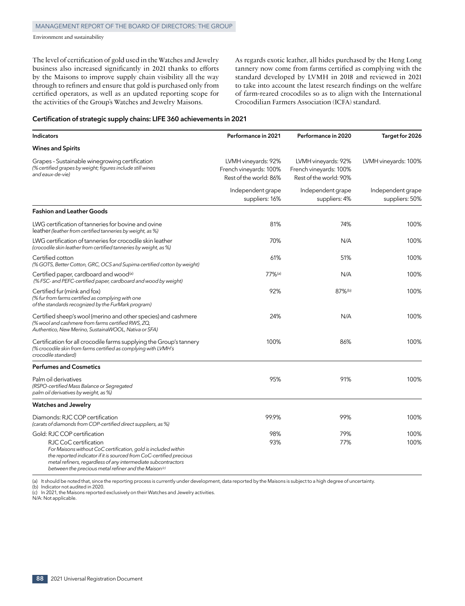The level of certification of gold used in the Watches and Jewelry business also increased significantly in 2021 thanks to efforts by the Maisons to improve supply chain visibility all the way through to refiners and ensure that gold is purchased only from certified operators, as well as an updated reporting scope for the activities of the Group's Watches and Jewelry Maisons.

As regards exotic leather, all hides purchased by the Heng Long tannery now come from farms certified as complying with the standard developed by LVMH in 2018 and reviewed in 2021 to take into account the latest research findings on the welfare of farm‑reared crocodiles so as to align with the International Crocodilian Farmers Association (ICFA) standard.

#### **Certification of strategic supply chains: LIFE 360 achievements in 2021**

| Indicators                                                                                                                                                                                                                                                                                          | Performance in 2021                                                     | Performance in 2020                                                     | Target for 2026                     |
|-----------------------------------------------------------------------------------------------------------------------------------------------------------------------------------------------------------------------------------------------------------------------------------------------------|-------------------------------------------------------------------------|-------------------------------------------------------------------------|-------------------------------------|
| <b>Wines and Spirits</b>                                                                                                                                                                                                                                                                            |                                                                         |                                                                         |                                     |
| Grapes - Sustainable winegrowing certification<br>(% certified grapes by weight; figures include still wines<br>and eaux-de-vie)                                                                                                                                                                    | LVMH vineyards: 92%<br>French vineyards: 100%<br>Rest of the world: 86% | LVMH vineyards: 92%<br>French vineyards: 100%<br>Rest of the world: 90% | LVMH vineyards: 100%                |
|                                                                                                                                                                                                                                                                                                     | Independent grape<br>suppliers: 16%                                     | Independent grape<br>suppliers: 4%                                      | Independent grape<br>suppliers: 50% |
| <b>Fashion and Leather Goods</b>                                                                                                                                                                                                                                                                    |                                                                         |                                                                         |                                     |
| LWG certification of tanneries for bovine and ovine<br>leather (leather from certified tanneries by weight, as %)                                                                                                                                                                                   | 81%                                                                     | 74%                                                                     | 100%                                |
| LWG certification of tanneries for crocodile skin leather<br>(crocodile skin leather from certified tanneries by weight, as %)                                                                                                                                                                      | 70%                                                                     | N/A                                                                     | 100%                                |
| Certified cotton<br>(% GOTS, Better Cotton, GRC, OCS and Supima certified cotton by weight)                                                                                                                                                                                                         | 61%                                                                     | 51%                                                                     | 100%                                |
| Certified paper, cardboard and wood <sup>(a)</sup><br>(% FSC- and PEFC-certified paper, cardboard and wood by weight)                                                                                                                                                                               | 77%(a)                                                                  | N/A                                                                     | 100%                                |
| Certified fur (mink and fox)<br>(% fur from farms certified as complying with one<br>of the standards recognized by the FurMark program)                                                                                                                                                            | 92%                                                                     | 87%(b)                                                                  | 100%                                |
| Certified sheep's wool (merino and other species) and cashmere<br>(% wool and cashmere from farms certified RWS, ZQ,<br>Authentico, New Merino, SustainaWOOL, Nativa or SFA)                                                                                                                        | 24%                                                                     | N/A                                                                     | 100%                                |
| Certification for all crocodile farms supplying the Group's tannery<br>(% crocodile skin from farms certified as complying with LVMH's<br>crocodile standard)                                                                                                                                       | 100%                                                                    | 86%                                                                     | 100%                                |
| <b>Perfumes and Cosmetics</b>                                                                                                                                                                                                                                                                       |                                                                         |                                                                         |                                     |
| Palm oil derivatives<br>(RSPO-certified Mass Balance or Segregated<br>palm oil derivatives by weight, as %)                                                                                                                                                                                         | 95%                                                                     | 91%                                                                     | 100%                                |
| <b>Watches and Jewelry</b>                                                                                                                                                                                                                                                                          |                                                                         |                                                                         |                                     |
| Diamonds: RJC COP certification<br>(carats of diamonds from COP-certified direct suppliers, as %)                                                                                                                                                                                                   | 99.9%                                                                   | 99%                                                                     | 100%                                |
| Gold: RJC COP certification                                                                                                                                                                                                                                                                         | 98%                                                                     | 79%                                                                     | 100%                                |
| RJC CoC certification<br>For Maisons without CoC certification, gold is included within<br>the reported indicator if it is sourced from CoC-certified precious<br>metal refiners, regardless of any intermediate subcontractors<br>between the precious metal refiner and the Maison <sup>(c)</sup> | 93%                                                                     | 77%                                                                     | 100%                                |

(a) It should be noted that, since the reporting process is currently under development, data reported by the Maisons is subject to a high degree of uncertainty.

(b) Indicator not audited in 2020.

(c) In 2021, the Maisons reported exclusively on their Watches and Jewelry activities.

N/A: Not applicable.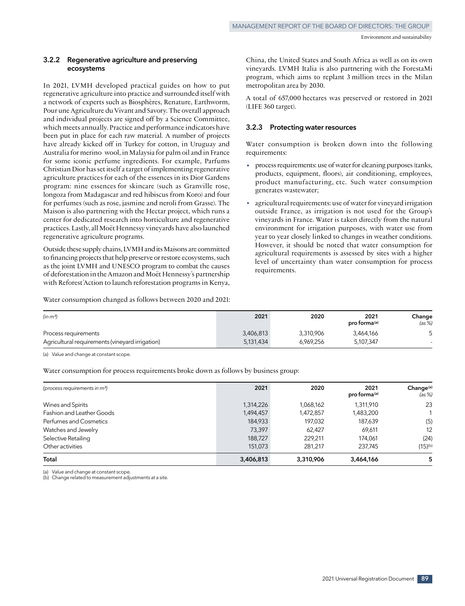#### **3.2.2 Regenerative agriculture and preserving ecosystems**

In 2021, LVMH developed practical guides on how to put regenerative agriculture into practice and surrounded itself with a network of experts such as Biosphères, Renature, Earthworm, Pour une Agriculture du Vivant and Savory. The overall approach and individual projects are signed off by a Science Committee, which meets annually. Practice and performance indicators have been put in place for each raw material. A number of projects have already kicked off in Turkey for cotton, in Uruguay and Australia for merino wool, in Malaysia for palm oil and in France for some iconic perfume ingredients. For example, Parfums Christian Dior has set itself a target of implementing regenerative agriculture practices for each of the essences in its Dior Gardens program: nine essences for skincare (such as Granville rose, longoza from Madagascar and red hibiscus from Koro) and four for perfumes (such as rose, jasmine and neroli from Grasse). The Maison is also partnering with the Hectar project, which runs a center for dedicated research into horticulture and regenerative practices. Lastly, all Moët Hennessy vineyards have also launched regenerative agriculture programs.

Outside these supply chains, LVMH and its Maisons are committed to financing projects that help preserve or restore ecosystems, such as the joint LVMH and UNESCO program to combat the causes of deforestation in the Amazon and Moët Hennessy's partnership with Reforest'Action to launch reforestation programs in Kenya,

Water consumption changed as follows between 2020 and 2021:

China, the United States and South Africa as well as on its own vineyards. LVMH Italia is also partnering with the ForestaMi program, which aims to replant 3 million trees in the Milan metropolitan area by 2030.

A total of 657,000 hectares was preserved or restored in 2021 (LIFE 360 target).

#### **3.2.3 Protecting water resources**

Water consumption is broken down into the following requirements:

- process requirements: use of water for cleaning purposes (tanks, products, equipment, floors), air conditioning, employees, product manufacturing, etc. Such water consumption generates wastewater;
- agricultural requirements: use of water for vineyard irrigation outside France, as irrigation is not used for the Group's vineyards in France. Water is taken directly from the natural environment for irrigation purposes, with water use from year to year closely linked to changes in weather conditions. However, it should be noted that water consumption for agricultural requirements is assessed by sites with a higher level of uncertainty than water consumption for process requirements.

| (in m <sup>3</sup> )                            | 2021      | 2020      | 2021<br>pro forma <sup>(a)</sup> | Change<br>(as %) |
|-------------------------------------------------|-----------|-----------|----------------------------------|------------------|
| Process requirements                            | 3,406,813 | 3.310.906 | 3,464,166                        |                  |
| Agricultural requirements (vineyard irrigation) | 5,131,434 | 6.969.256 | 5,107,347                        |                  |

(a) Value and change at constant scope.

Water consumption for process requirements broke down as follows by business group:

| (process requirements in m <sup>3</sup> ) | 2021      | 2020      | 2021<br>pro forma(a) | Change <sup>(a)</sup><br>(as %) |
|-------------------------------------------|-----------|-----------|----------------------|---------------------------------|
| Wines and Spirits                         | 1,314,226 | 1,068,162 | 1,311,910            | 23                              |
| Fashion and Leather Goods                 | 1,494,457 | 1,472,857 | 1,483,200            |                                 |
| Perfumes and Cosmetics                    | 184,933   | 197,032   | 187,639              | (5)                             |
| Watches and Jewelry                       | 73,397    | 62,427    | 69,611               | 12                              |
| Selective Retailing                       | 188,727   | 229.211   | 174.061              | (24)                            |
| Other activities                          | 151,073   | 281,217   | 237,745              | $(15)$ <sup>(b)</sup>           |
| Total                                     | 3,406,813 | 3,310,906 | 3,464,166            | 5                               |

(a) Value and change at constant scope.

(b) Change related to measurement adjustments at a site.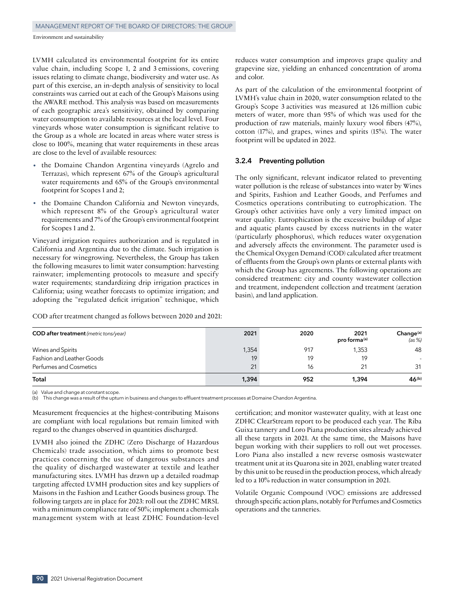LVMH calculated its environmental footprint for its entire value chain, including Scope 1, 2 and 3 emissions, covering issues relating to climate change, biodiversity and water use. As part of this exercise, an in‑depth analysis of sensitivity to local constraints was carried out at each of the Group's Maisons using the AWARE method. This analysis was based on measurements of each geographic area's sensitivity, obtained by comparing water consumption to available resources at the local level. Four vineyards whose water consumption is significant relative to the Group as a whole are located in areas where water stress is close to 100%, meaning that water requirements in these areas are close to the level of available resources:

- the Domaine Chandon Argentina vineyards (Agrelo and Terrazas), which represent 67% of the Group's agricultural water requirements and 65% of the Group's environmental footprint for Scopes 1 and 2;
- the Domaine Chandon California and Newton vineyards, which represent 8% of the Group's agricultural water requirements and 7% of the Group's environmental footprint for Scopes 1 and 2.

Vineyard irrigation requires authorization and is regulated in California and Argentina due to the climate. Such irrigation is necessary for winegrowing. Nevertheless, the Group has taken the following measures to limit water consumption: harvesting rainwater; implementing protocols to measure and specify water requirements; standardizing drip irrigation practices in California; using weather forecasts to optimize irrigation; and adopting the "regulated deficit irrigation" technique, which

COD after treatment changed as follows between 2020 and 2021:

reduces water consumption and improves grape quality and grapevine size, yielding an enhanced concentration of aroma and color.

As part of the calculation of the environmental footprint of LVMH's value chain in 2020, water consumption related to the Group's Scope 3 activities was measured at 126 million cubic meters of water, more than 95% of which was used for the production of raw materials, mainly luxury wool fibers (47%), cotton (17%), and grapes, wines and spirits (15%). The water footprint will be updated in 2022.

### **3.2.4 Preventing pollution**

The only significant, relevant indicator related to preventing water pollution is the release of substances into water by Wines and Spirits, Fashion and Leather Goods, and Perfumes and Cosmetics operations contributing to eutrophication. The Group's other activities have only a very limited impact on water quality. Eutrophication is the excessive buildup of algae and aquatic plants caused by excess nutrients in the water (particularly phosphorus), which reduces water oxygenation and adversely affects the environment. The parameter used is the Chemical Oxygen Demand (COD) calculated after treatment of effluents from the Group's own plants or external plants with which the Group has agreements. The following operations are considered treatment: city and county wastewater collection and treatment, independent collection and treatment (aeration basin), and land application.

| <b>COD</b> after treatment (metric tons/year) | 2021  | 2020 | 2021<br>pro forma <sup>(a)</sup> | Change <sup>(a)</sup><br>(as %) |
|-----------------------------------------------|-------|------|----------------------------------|---------------------------------|
| Wines and Spirits                             | 1,354 | 917  | 1,353                            | 48                              |
| Fashion and Leather Goods                     | 19    | 19   | 19                               |                                 |
| Perfumes and Cosmetics                        | 21    | 16   | 21                               | 31                              |
| Total                                         | 1,394 | 952  | 1.394                            | 46 <sup>(b)</sup>               |

(a) Value and change at constant scope.

(b) This change was a result of the upturn in business and changes to effluent treatment processes at Domaine Chandon Argentina.

Measurement frequencies at the highest‑contributing Maisons are compliant with local regulations but remain limited with regard to the changes observed in quantities discharged.

LVMH also joined the ZDHC (Zero Discharge of Hazardous Chemicals) trade association, which aims to promote best practices concerning the use of dangerous substances and the quality of discharged wastewater at textile and leather manufacturing sites. LVMH has drawn up a detailed roadmap targeting affected LVMH production sites and key suppliers of Maisons in the Fashion and Leather Goods business group. The following targets are in place for 2023: roll out the ZDHC MRSL with a minimum compliance rate of 50%; implement a chemicals management system with at least ZDHC Foundation‑level certification; and monitor wastewater quality, with at least one ZDHC ClearStream report to be produced each year. The Riba Guixa tannery and Loro Piana production sites already achieved all these targets in 2021. At the same time, the Maisons have begun working with their suppliers to roll out wet processes. Loro Piana also installed a new reverse osmosis wastewater treatment unit at its Quarona site in 2021, enabling water treated by this unit to be reused in the production process, which already led to a 10% reduction in water consumption in 2021.

Volatile Organic Compound (VOC) emissions are addressed through specific action plans, notably for Perfumes and Cosmetics operations and the tanneries.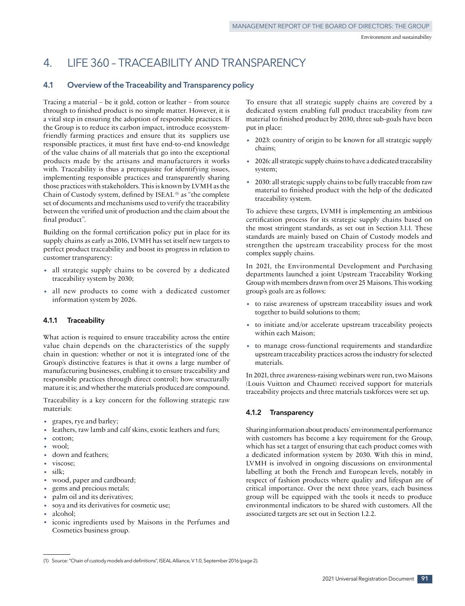# 4. LIFE 360 – TRACEABILITY AND TRANSPARENCY

# **4.1 Overview of the Traceability and Transparency policy**

Tracing a material – be it gold, cotton or leather – from source through to finished product is no simple matter. However, it is a vital step in ensuring the adoption of responsible practices. If the Group is to reduce its carbon impact, introduce ecosystemfriendly farming practices and ensure that its suppliers use responsible practices, it must first have end-to-end knowledge of the value chains of all materials that go into the exceptional products made by the artisans and manufacturers it works with. Traceability is thus a prerequisite for identifying issues, implementing responsible practices and transparently sharing those practices with stakeholders. This is known by LVMH as the Chain of Custody system, defined by ISEAL  (1) as "the complete set of documents and mechanisms used to verify the traceability between the verified unit of production and the claim about the final product".

Building on the formal certification policy put in place for its supply chains as early as 2016, LVMH has set itself new targets to perfect product traceability and boost its progress in relation to customer transparency:

- all strategic supply chains to be covered by a dedicated traceability system by 2030;
- all new products to come with a dedicated customer information system by 2026.

#### **4.1.1 Traceability**

What action is required to ensure traceability across the entire value chain depends on the characteristics of the supply chain in question: whether or not it is integrated (one of the Group's distinctive features is that it owns a large number of manufacturing businesses, enabling it to ensure traceability and responsible practices through direct control); how structurally mature it is; and whether the materials produced are compound.

Traceability is a key concern for the following strategic raw materials:

- grapes, rye and barley;
- leathers, raw lamb and calf skins, exotic leathers and furs;
- cotton;
- wool;
- down and feathers;
- viscose;
- silk;
- wood, paper and cardboard;
- gems and precious metals;
- palm oil and its derivatives;
- soya and its derivatives for cosmetic use;
- alcohol:
- iconic ingredients used by Maisons in the Perfumes and Cosmetics business group.

To ensure that all strategic supply chains are covered by a dedicated system enabling full product traceability from raw material to finished product by 2030, three sub‑goals have been put in place:

- 2023: country of origin to be known for all strategic supply chains;
- 2026: all strategic supply chains to have a dedicated traceability system;
- 2030: all strategic supply chains to be fully traceable from raw material to finished product with the help of the dedicated traceability system.

To achieve these targets, LVMH is implementing an ambitious certification process for its strategic supply chains based on the most stringent standards, as set out in Section 3.1.1. These standards are mainly based on Chain of Custody models and strengthen the upstream traceability process for the most complex supply chains.

In 2021, the Environmental Development and Purchasing departments launched a joint Upstream Traceability Working Group with members drawn from over 25 Maisons. This working group's goals are as follows:

- to raise awareness of upstream traceability issues and work together to build solutions to them;
- to initiate and/or accelerate upstream traceability projects within each Maison;
- to manage cross-functional requirements and standardize upstream traceability practices across the industry for selected materials.

In 2021, three awareness‑raising webinars were run, two Maisons (Louis Vuitton and Chaumet) received support for materials traceability projects and three materials taskforces were set up.

### **4.1.2 Transparency**

Sharing information about products' environmental performance with customers has become a key requirement for the Group, which has set a target of ensuring that each product comes with a dedicated information system by 2030. With this in mind, LVMH is involved in ongoing discussions on environmental labelling at both the French and European levels, notably in respect of fashion products where quality and lifespan are of critical importance. Over the next three years, each business group will be equipped with the tools it needs to produce environmental indicators to be shared with customers. All the associated targets are set out in Section 1.2.2.

<sup>(1)</sup> Source: "Chain of custody models and definitions", ISEAL Alliance, V 1.0, September 2016 (page 2).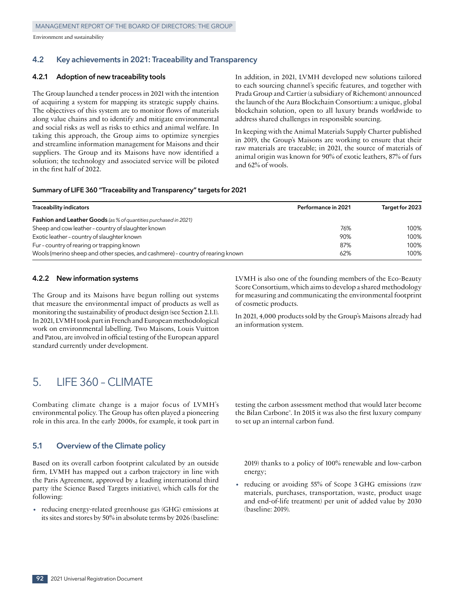## **4.2 Key achievements in 2021: Traceability and Transparency**

#### **4.2.1 Adoption of new traceability tools**

The Group launched a tender process in 2021 with the intention of acquiring a system for mapping its strategic supply chains. The objectives of this system are to monitor flows of materials along value chains and to identify and mitigate environmental and social risks as well as risks to ethics and animal welfare. In taking this approach, the Group aims to optimize synergies and streamline information management for Maisons and their suppliers. The Group and its Maisons have now identified a solution; the technology and associated service will be piloted in the first half of 2022.

In addition, in 2021, LVMH developed new solutions tailored to each sourcing channel's specific features, and together with Prada Group and Cartier (a subsidiary of Richemont) announced the launch of the Aura Blockchain Consortium: a unique, global blockchain solution, open to all luxury brands worldwide to address shared challenges in responsible sourcing.

In keeping with the Animal Materials Supply Charter published in 2019, the Group's Maisons are working to ensure that their raw materials are traceable; in 2021, the source of materials of animal origin was known for 90% of exotic leathers, 87% of furs and 62% of wools.

#### **Summary of LIFE 360 "Traceability and Transparency" targets for 2021**

| <b>Traceability indicators</b>                                                  | Performance in 2021 | Target for 2023 |
|---------------------------------------------------------------------------------|---------------------|-----------------|
| <b>Fashion and Leather Goods</b> (as % of quantities purchased in 2021)         |                     |                 |
| Sheep and cow leather - country of slaughter known                              | 76%                 | 100%            |
| Exotic leather - country of slaughter known                                     | 90%                 | 100%            |
| Fur - country of rearing or trapping known                                      | 87%                 | 100%            |
| Wools (merino sheep and other species, and cashmere) - country of rearing known | 62%                 | 100%            |

#### **4.2.2 New information systems**

The Group and its Maisons have begun rolling out systems that measure the environmental impact of products as well as monitoring the sustainability of product design (see Section 2.1.1). In 2021, LVMH took part in French and European methodological work on environmental labelling. Two Maisons, Louis Vuitton and Patou, are involved in official testing of the European apparel standard currently under development.

#### LVMH is also one of the founding members of the Eco-Beauty Score Consortium, which aims to develop a shared methodology for measuring and communicating the environmental footprint of cosmetic products.

In 2021, 4,000 products sold by the Group's Maisons already had an information system.

# 5. LIFE 360 – CLIMATE

Combating climate change is a major focus of LVMH's environmental policy. The Group has often played a pioneering role in this area. In the early 2000s, for example, it took part in

#### **5.1 Overview of the Climate policy**

Based on its overall carbon footprint calculated by an outside firm, LVMH has mapped out a carbon trajectory in line with the Paris Agreement, approved by a leading international third party (the Science Based Targets initiative), which calls for the following:

• reducing energy‑related greenhouse gas (GHG) emissions at its sites and stores by 50% in absolute terms by 2026 (baseline: testing the carbon assessment method that would later become the Bilan Carbone®. In 2015 it was also the first luxury company to set up an internal carbon fund.

2019) thanks to a policy of 100% renewable and low‑carbon energy;

reducing or avoiding 55% of Scope 3 GHG emissions (raw materials, purchases, transportation, waste, product usage and end‑of‑life treatment) per unit of added value by 2030 (baseline: 2019).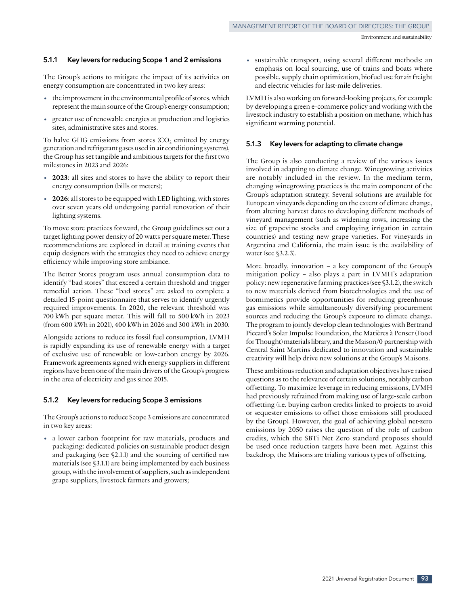#### **5.1.1 Key levers for reducing Scope 1 and 2 emissions**

The Group's actions to mitigate the impact of its activities on energy consumption are concentrated in two key areas:

- the improvement in the environmental profile of stores, which represent the main source of the Group's energy consumption;
- greater use of renewable energies at production and logistics sites, administrative sites and stores.

To halve GHG emissions from stores  $(CO<sub>2</sub>$  emitted by energy generation and refrigerant gases used in air conditioning systems), the Group has set tangible and ambitious targets for the first two milestones in 2023 and 2026:

- **<sup>2023</sup>**: all sites and stores to have the ability to report their energy consumption (bills or meters);
- **<sup>2026</sup>**: all stores to be equipped with LED lighting, with stores over seven years old undergoing partial renovation of their lighting systems.

To move store practices forward, the Group guidelines set out a target lighting power density of 20 watts per square meter. These recommendations are explored in detail at training events that equip designers with the strategies they need to achieve energy efficiency while improving store ambiance.

The Better Stores program uses annual consumption data to identify "bad stores" that exceed a certain threshold and trigger remedial action. These "bad stores" are asked to complete a detailed 15‑point questionnaire that serves to identify urgently required improvements. In 2020, the relevant threshold was 700 kWh per square meter. This will fall to 500 kWh in 2023 (from 600 kWh in 2021), 400 kWh in 2026 and 300 kWh in 2030.

Alongside actions to reduce its fossil fuel consumption, LVMH is rapidly expanding its use of renewable energy with a target of exclusive use of renewable or low‑carbon energy by 2026. Framework agreements signed with energy suppliers in different regions have been one of the main drivers of the Group's progress in the area of electricity and gas since 2015.

#### **5.1.2 Key levers for reducing Scope 3 emissions**

The Group's actions to reduce Scope 3 emissions are concentrated in two key areas:

• a lower carbon footprint for raw materials, products and packaging: dedicated policies on sustainable product design and packaging (see §2.1.1) and the sourcing of certified raw materials (see §3.1.1) are being implemented by each business group, with the involvement of suppliers, such as independent grape suppliers, livestock farmers and growers;

• sustainable transport, using several different methods: an emphasis on local sourcing, use of trains and boats where possible, supply chain optimization, biofuel use for air freight and electric vehicles for last-mile deliveries.

LVMH is also working on forward‑looking projects, for example by developing a green e‑commerce policy and working with the livestock industry to establish a position on methane, which has significant warming potential.

#### **5.1.3 Key levers for adapting to climate change**

The Group is also conducting a review of the various issues involved in adapting to climate change. Winegrowing activities are notably included in the review. In the medium term, changing winegrowing practices is the main component of the Group's adaptation strategy. Several solutions are available for European vineyards depending on the extent of climate change, from altering harvest dates to developing different methods of vineyard management (such as widening rows, increasing the size of grapevine stocks and employing irrigation in certain countries) and testing new grape varieties. For vineyards in Argentina and California, the main issue is the availability of water (see §3.2.3).

More broadly, innovation – a key component of the Group's mitigation policy – also plays a part in LVMH's adaptation policy: new regenerative farming practices (see §3.1.2), the switch to new materials derived from biotechnologies and the use of biomimetics provide opportunities for reducing greenhouse gas emissions while simultaneously diversifying procurement sources and reducing the Group's exposure to climate change. The program to jointly develop clean technologies with Bertrand Piccard's Solar Impulse Foundation, the Matières à Penser (Food for Thought) materials library, and the Maison/0 partnership with Central Saint Martins dedicated to innovation and sustainable creativity will help drive new solutions at the Group's Maisons.

These ambitious reduction and adaptation objectives have raised questions as to the relevance of certain solutions, notably carbon offsetting. To maximize leverage in reducing emissions, LVMH had previously refrained from making use of large-scale carbon offsetting (i.e. buying carbon credits linked to projects to avoid or sequester emissions to offset those emissions still produced by the Group). However, the goal of achieving global net-zero emissions by 2050 raises the question of the role of carbon credits, which the SBTi Net Zero standard proposes should be used once reduction targets have been met. Against this backdrop, the Maisons are trialing various types of offsetting.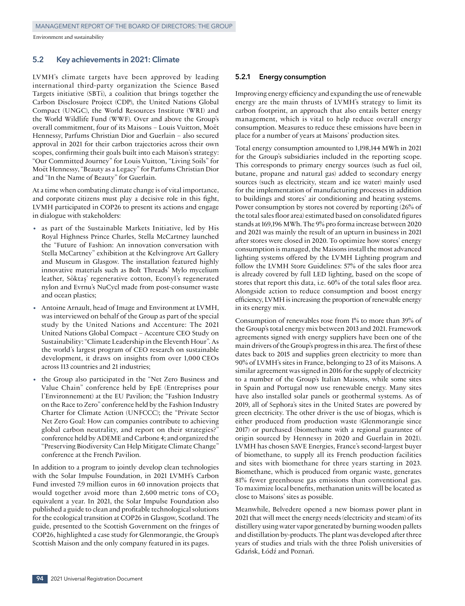#### **5.2 Key achievements in 2021: Climate**

LVMH's climate targets have been approved by leading international third‑party organization the Science Based Targets initiative (SBTi), a coalition that brings together the Carbon Disclosure Project (CDP), the United Nations Global Compact (UNGC), the World Resources Institute (WRI) and the World Wildlife Fund (WWF). Over and above the Group's overall commitment, four of its Maisons – Louis Vuitton, Moët Hennessy, Parfums Christian Dior and Guerlain – also secured approval in 2021 for their carbon trajectories across their own scopes, confirming their goals built into each Maison's strategy: "Our Committed Journey" for Louis Vuitton, "Living Soils" for Moët Hennessy, "Beauty as a Legacy" for Parfums Christian Dior and "In the Name of Beauty" for Guerlain.

At a time when combating climate change is of vital importance, and corporate citizens must play a decisive role in this fight, LVMH participated in COP26 to present its actions and engage in dialogue with stakeholders:

- as part of the Sustainable Markets Initiative, led by His Royal Highness Prince Charles, Stella McCartney launched the "Future of Fashion: An innovation conversation with Stella McCartney" exhibition at the Kelvingrove Art Gallery and Museum in Glasgow. The installation featured highly innovative materials such as Bolt Threads' Mylo mycelium leather, Söktaş' regenerative cotton, Econyl's regenerated nylon and Evrnu's NuCycl made from post-consumer waste and ocean plastics;
- Antoine Arnault, head of Image and Environment at LVMH, was interviewed on behalf of the Group as part of the special study by the United Nations and Accenture: The 2021 United Nations Global Compact – Accenture CEO Study on Sustainability: "Climate Leadership in the Eleventh Hour". As the world's largest program of CEO research on sustainable development, it draws on insights from over 1,000 CEOs across 113 countries and 21 industries;
- the Group also participated in the "Net Zero Business and Value Chain" conference held by EpE (Entreprises pour l'Environnement) at the EU Pavilion; the "Fashion Industry on the Race to Zero" conference held by the Fashion Industry Charter for Climate Action (UNFCCC); the "Private Sector Net Zero Goal: How can companies contribute to achieving global carbon neutrality, and report on their strategies?" conference held by ADEME and Carbone 4; and organized the "Preserving Biodiversity Can Help Mitigate Climate Change" conference at the French Pavilion.

In addition to a program to jointly develop clean technologies with the Solar Impulse Foundation, in 2021 LVMH's Carbon Fund invested 7.9 million euros in 60 innovation projects that would together avoid more than  $2,600$  metric tons of  $CO<sub>2</sub>$ equivalent a year. In 2021, the Solar Impulse Foundation also published a guide to clean and profitable technological solutions for the ecological transition at COP26 in Glasgow, Scotland. The guide, presented to the Scottish Government on the fringes of COP26, highlighted a case study for Glenmorangie, the Group's Scottish Maison and the only company featured in its pages.

#### **5.2.1 Energy consumption**

Improving energy efficiency and expanding the use of renewable energy are the main thrusts of LVMH's strategy to limit its carbon footprint, an approach that also entails better energy management, which is vital to help reduce overall energy consumption. Measures to reduce these emissions have been in place for a number of years at Maisons' production sites.

Total energy consumption amounted to 1,198,144 MWh in 2021 for the Group's subsidiaries included in the reporting scope. This corresponds to primary energy sources (such as fuel oil, butane, propane and natural gas) added to secondary energy sources (such as electricity, steam and ice water) mainly used for the implementation of manufacturing processes in addition to buildings and stores' air conditioning and heating systems. Power consumption by stores not covered by reporting (26% of the total sales floor area) estimated based on consolidated figures stands at 169,196 MWh. The 9% pro forma increase between 2020 and 2021 was mainly the result of an upturn in business in 2021 after stores were closed in 2020. To optimize how stores' energy consumption is managed, the Maisons install the most advanced lighting systems offered by the LVMH Lighting program and follow the LVMH Store Guidelines: 57% of the sales floor area is already covered by full LED lighting, based on the scope of stores that report this data, i.e. 60% of the total sales floor area. Alongside action to reduce consumption and boost energy efficiency, LVMH is increasing the proportion of renewable energy in its energy mix.

Consumption of renewables rose from 1% to more than 39% of the Group's total energy mix between 2013 and 2021. Framework agreements signed with energy suppliers have been one of the main drivers of the Group's progress in this area. The first of these dates back to 2015 and supplies green electricity to more than 90% of LVMH's sites in France, belonging to 23 of its Maisons. A similar agreement was signed in 2016 for the supply of electricity to a number of the Group's Italian Maisons, while some sites in Spain and Portugal now use renewable energy. Many sites have also installed solar panels or geothermal systems. As of 2019, all of Sephora's sites in the United States are powered by green electricity. The other driver is the use of biogas, which is either produced from production waste (Glenmorangie since 2017) or purchased (biomethane with a regional guarantee of origin sourced by Hennessy in 2020 and Guerlain in 2021). LVMH has chosen SAVE Energies, France's second‑largest buyer of biomethane, to supply all its French production facilities and sites with biomethane for three years starting in 2023. Biomethane, which is produced from organic waste, generates 81% fewer greenhouse gas emissions than conventional gas. To maximize local benefits, methanation units will be located as close to Maisons' sites as possible.

Meanwhile, Belvedere opened a new biomass power plant in 2021 that will meet the energy needs (electricity and steam) of its distillery using water vapor generated by burning wooden pallets and distillation by‑products. The plant was developed after three years of studies and trials with the three Polish universities of Gdańsk, Łódź and Poznań.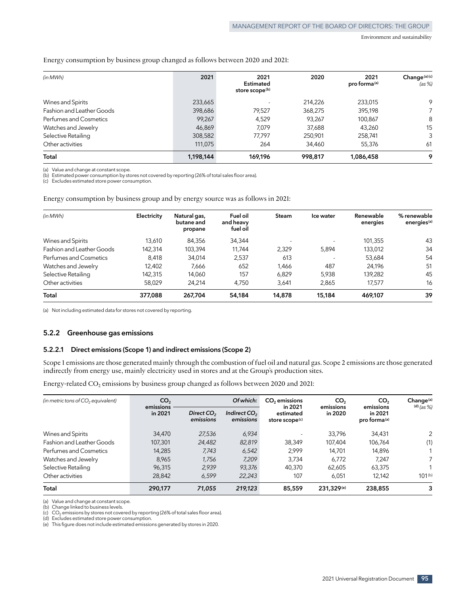#### Energy consumption by business group changed as follows between 2020 and 2021:

| (in MWh)                         | 2021      | 2021<br>Estimated<br>store scope <sup>(b)</sup> | 2020    | 2021<br>pro forma <sup>(a)</sup> | Change(a)(c)<br>(as %) |
|----------------------------------|-----------|-------------------------------------------------|---------|----------------------------------|------------------------|
| Wines and Spirits                | 233,665   |                                                 | 214.226 | 233,015                          | 9                      |
| <b>Fashion and Leather Goods</b> | 398,686   | 79,527                                          | 368,275 | 395,198                          |                        |
| Perfumes and Cosmetics           | 99,267    | 4,529                                           | 93,267  | 100,867                          | 8                      |
| Watches and Jewelry              | 46,869    | 7.079                                           | 37,688  | 43.260                           | 15                     |
| Selective Retailing              | 308,582   | 77,797                                          | 250,901 | 258,741                          | 3                      |
| Other activities                 | 111,075   | 264                                             | 34,460  | 55,376                           | 61                     |
| Total                            | 1,198,144 | 169,196                                         | 998,817 | 1,086,458                        | 9                      |

(a) Value and change at constant scope.

(b) Estimated power consumption by stores not covered by reporting (26% of total sales floor area).

(c) Excludes estimated store power consumption.

Energy consumption by business group and by energy source was as follows in 2021:

| (in MWh)                         | Electricity | Natural gas,<br>butane and<br>propane | Fuel oil<br>and heavy<br>fuel oil | <b>Steam</b> | Ice water | Renewable<br>energies | % renewable<br>energies <sup>(a)</sup> |
|----------------------------------|-------------|---------------------------------------|-----------------------------------|--------------|-----------|-----------------------|----------------------------------------|
| Wines and Spirits                | 13,610      | 84,356                                | 34,344                            | н.           |           | 101,355               | 43                                     |
| <b>Fashion and Leather Goods</b> | 142,314     | 103,394                               | 11.744                            | 2.329        | 5,894     | 133,012               | 34                                     |
| Perfumes and Cosmetics           | 8,418       | 34.014                                | 2,537                             | 613          |           | 53,684                | 54                                     |
| Watches and Jewelry              | 12,402      | 7,666                                 | 652                               | 1,466        | 487       | 24.196                | 51                                     |
| Selective Retailing              | 142,315     | 14.060                                | 157                               | 6.829        | 5.938     | 139.282               | 45                                     |
| Other activities                 | 58,029      | 24.214                                | 4.750                             | 3.641        | 2,865     | 17.577                | 16                                     |
| Total                            | 377,088     | 267,704                               | 54,184                            | 14,878       | 15,184    | 469,107               | 39                                     |

(a) Not including estimated data for stores not covered by reporting.

#### **5.2.2 Greenhouse gas emissions**

#### **5.2.2.1 Direct emissions (Scope 1) and indirect emissions (Scope 2)**

Scope 1 emissions are those generated mainly through the combustion of fuel oil and natural gas. Scope 2 emissions are those generated indirectly from energy use, mainly electricity used in stores and at the Group's production sites.

Energy-related CO<sub>2</sub> emissions by business group changed as follows between 2020 and 2021:

| (in metric tons of $CO2$ equivalent) | CO <sub>2</sub>      |                                                                              | Of which:                               | CO <sub>2</sub> emissions       | CO <sub>2</sub>                                  | CO <sub>2</sub> | Change <sup>(a)</sup> |
|--------------------------------------|----------------------|------------------------------------------------------------------------------|-----------------------------------------|---------------------------------|--------------------------------------------------|-----------------|-----------------------|
|                                      | emissions<br>in 2021 | Direct CO <sub>2</sub><br>Indirect CO <sub>2</sub><br>emissions<br>emissions | estimated<br>store scope <sup>(c)</sup> | in 2021<br>emissions<br>in 2020 | emissions<br>in 2021<br>pro forma <sup>(a)</sup> | (d) $(as %)$    |                       |
| Wines and Spirits                    | 34,470               | 27,536                                                                       | 6.934                                   |                                 | 33.796                                           | 34,431          | 2                     |
| Fashion and Leather Goods            | 107,301              | 24,482                                                                       | 82,819                                  | 38,349                          | 107.404                                          | 106.764         | (1)                   |
| Perfumes and Cosmetics               | 14,285               | 7.743                                                                        | 6,542                                   | 2.999                           | 14,701                                           | 14,896          |                       |
| Watches and Jewelry                  | 8,965                | 1,756                                                                        | 7.209                                   | 3.734                           | 6.772                                            | 7.247           | 7                     |
| Selective Retailing                  | 96.315               | 2.939                                                                        | 93,376                                  | 40.370                          | 62.605                                           | 63,375          |                       |
| Other activities                     | 28.842               | 6.599                                                                        | 22,243                                  | 107                             | 6.051                                            | 12,142          | $101^{(b)}$           |
| Total                                | 290,177              | 71,055                                                                       | 219,123                                 | 85,559                          | 231,329 <sup>(e)</sup>                           | 238,855         | 3                     |

(a) Value and change at constant scope.

(b) Change linked to business levels.

 $(c)$  CO<sub>2</sub> emissions by stores not covered by reporting (26% of total sales floor area).

(d) Excludes estimated store power consumption.

(e) This figure does not include estimated emissions generated by stores in 2020.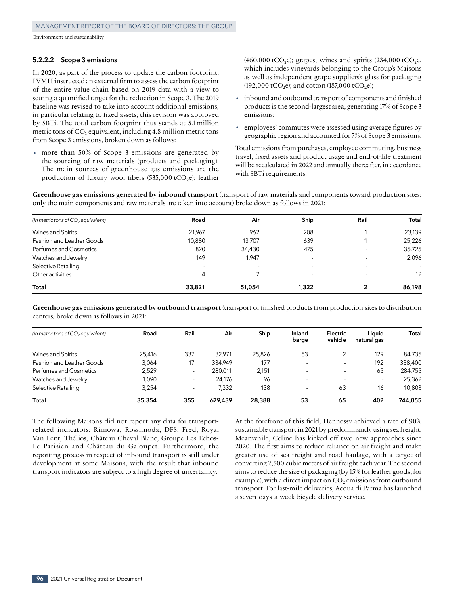#### **5.2.2.2 Scope 3 emissions**

In 2020, as part of the process to update the carbon footprint, LVMH instructed an external firm to assess the carbon footprint of the entire value chain based on 2019 data with a view to setting a quantified target for the reduction in Scope 3. The 2019 baseline was revised to take into account additional emissions, in particular relating to fixed assets; this revision was approved by SBTi. The total carbon footprint thus stands at 5.1 million metric tons of  $CO<sub>2</sub>$  equivalent, including 4.8 million metric tons from Scope 3 emissions, broken down as follows:

more than 50% of Scope 3 emissions are generated by the sourcing of raw materials (products and packaging). The main sources of greenhouse gas emissions are the production of luxury wool fibers  $(535,000 \text{ tCO}_{2})$ ; leather  $(460,000 \text{ tCO}_2)$ ; grapes, wines and spirits  $(234,000 \text{ tCO}_2)$ e, which includes vineyards belonging to the Group's Maisons as well as independent grape suppliers); glass for packaging (192,000 tCO<sub>2</sub>e); and cotton (187,000 tCO<sub>2</sub>e);

- inbound and outbound transport of components and finished products is the second‑largest area, generating 17% of Scope 3 emissions;
- employees' commutes were assessed using average figures by geographic region and accounted for 7% of Scope 3 emissions.

Total emissions from purchases, employee commuting, business travel, fixed assets and product usage and end‑of‑life treatment will be recalculated in 2022 and annually thereafter, in accordance with SBTi requirements.

**Greenhouse gas emissions generated by inbound transport** (transport of raw materials and components toward production sites; only the main components and raw materials are taken into account) broke down as follows in 2021:

| (in metric tons of $CO2$ equivalent) | Road   | Air                      | Ship                     | Rail                     | Total  |
|--------------------------------------|--------|--------------------------|--------------------------|--------------------------|--------|
| Wines and Spirits                    | 21,967 | 962                      | 208                      |                          | 23,139 |
| Fashion and Leather Goods            | 10,880 | 13,707                   | 639                      |                          | 25,226 |
| Perfumes and Cosmetics               | 820    | 34,430                   | 475                      |                          | 35,725 |
| Watches and Jewelry                  | 149    | 1.947                    |                          |                          | 2,096  |
| Selective Retailing                  | ٠      | $\overline{\phantom{a}}$ | $\overline{\phantom{a}}$ | $\overline{\phantom{a}}$ | $\sim$ |
| Other activities                     | 4      |                          | $\overline{\phantom{a}}$ | $\sim$                   | 12     |
| Total                                | 33,821 | 51,054                   | 1,322                    |                          | 86,198 |

**Greenhouse gas emissions generated by outbound transport** (transport of finished products from production sites to distribution centers) broke down as follows in 2021:

| (in metric tons of $CO2$ equivalent) | Road   | Rail                     | Air     | Ship   | Inland<br>barge          | Electric<br>vehicle | Liauid<br>natural gas    | Total   |
|--------------------------------------|--------|--------------------------|---------|--------|--------------------------|---------------------|--------------------------|---------|
| Wines and Spirits                    | 25,416 | 337                      | 32.971  | 25,826 | 53                       | $\overline{2}$      | 129                      | 84,735  |
| Fashion and Leather Goods            | 3.064  | 17                       | 334.949 | 177    | $\overline{\phantom{a}}$ |                     | 192                      | 338,400 |
| Perfumes and Cosmetics               | 2,529  | $\overline{\phantom{a}}$ | 280.011 | 2,151  | $\overline{\phantom{a}}$ |                     | 65                       | 284,755 |
| Watches and Jewelry                  | 1,090  | $\overline{\phantom{a}}$ | 24.176  | 96     | $\overline{\phantom{a}}$ |                     | $\overline{\phantom{a}}$ | 25,362  |
| Selective Retailing                  | 3.254  | $\overline{\phantom{a}}$ | 7.332   | 138    | $\overline{\phantom{a}}$ | 63                  | 16                       | 10,803  |
| Total                                | 35,354 | 355                      | 679.439 | 28.388 | 53                       | 65                  | 402                      | 744,055 |

The following Maisons did not report any data for transportrelated indicators: Rimowa, Rossimoda, DFS, Fred, Royal Van Lent, Thélios, Château Cheval Blanc, Groupe Les Echos-Le Parisien and Château du Galoupet. Furthermore, the reporting process in respect of inbound transport is still under development at some Maisons, with the result that inbound transport indicators are subject to a high degree of uncertainty.

At the forefront of this field, Hennessy achieved a rate of 90% sustainable transport in 2021 by predominantly using sea freight. Meanwhile, Celine has kicked off two new approaches since 2020. The first aims to reduce reliance on air freight and make greater use of sea freight and road haulage, with a target of converting 2,500 cubic meters of air freight each year. The second aims to reduce the size of packaging (by 15% for leather goods, for example), with a direct impact on  $CO<sub>2</sub>$  emissions from outbound transport. For last‑mile deliveries, Acqua di Parma has launched a seven‑days‑a-week bicycle delivery service.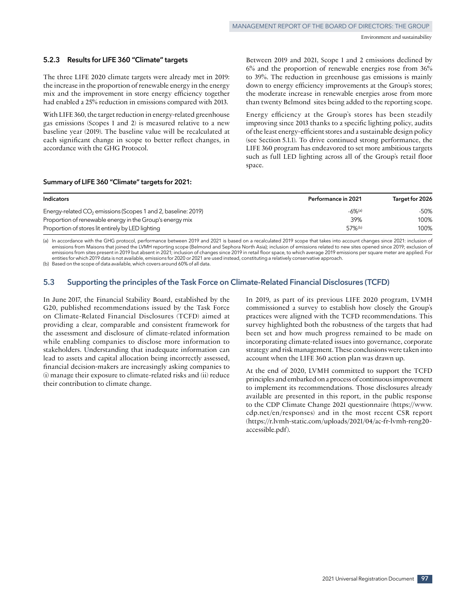#### **5.2.3 Results for LIFE 360 "Climate" targets**

The three LIFE 2020 climate targets were already met in 2019: the increase in the proportion of renewable energy in the energy mix and the improvement in store energy efficiency together had enabled a 25% reduction in emissions compared with 2013.

With LIFE 360, the target reduction in energy-related greenhouse gas emissions (Scopes 1 and 2) is measured relative to a new baseline year (2019). The baseline value will be recalculated at each significant change in scope to better reflect changes, in accordance with the GHG Protocol.

Between 2019 and 2021, Scope 1 and 2 emissions declined by 6% and the proportion of renewable energies rose from 36% to 39%. The reduction in greenhouse gas emissions is mainly down to energy efficiency improvements at the Group's stores; the moderate increase in renewable energies arose from more than twenty Belmond sites being added to the reporting scope.

Energy efficiency at the Group's stores has been steadily improving since 2013 thanks to a specific lighting policy, audits of the least energy‑efficient stores and a sustainable design policy (see Section 5.1.1). To drive continued strong performance, the LIFE 360 program has endeavored to set more ambitious targets such as full LED lighting across all of the Group's retail floor space.

#### **Summary of LIFE 360 "Climate" targets for 2021:**

| <b>Indicators</b>                                                         | <b>Performance in 2021</b> | Target for 2026 |
|---------------------------------------------------------------------------|----------------------------|-----------------|
| Energy-related CO <sub>2</sub> emissions (Scopes 1 and 2, baseline: 2019) | $-6\%$ (a)                 | $-50%$          |
| Proportion of renewable energy in the Group's energy mix                  | 39%                        | 100%            |
| Proportion of stores lit entirely by LED lighting                         | $57%$ <sup>(b)</sup>       | 100%            |

(a) In accordance with the GHG protocol, performance between 2019 and 2021 is based on a recalculated 2019 scope that takes into account changes since 2021: inclusion of emissions from Maisons that joined the LVMH reporting scope (Belmond and Sephora North Asia); inclusion of emissions related to new sites opened since 2019; exclusion of emissions from sites present in 2019 but absent in 2021; inclusion of changes since 2019 in retail floor space, to which average 2019 emissions per square meter are applied. For entities for which 2019 data is not available, emissions for 2020 or 2021 are used instead, constituting a relatively conservative approach.

(b) Based on the scope of data available, which covers around 60% of all data.

## **5.3 Supporting the principles of the Task Force on Climate-Related Financial Disclosures (TCFD)**

In June 2017, the Financial Stability Board, established by the G20, published recommendations issued by the Task Force on Climate-Related Financial Disclosures (TCFD) aimed at providing a clear, comparable and consistent framework for the assessment and disclosure of climate‑related information while enabling companies to disclose more information to stakeholders. Understanding that inadequate information can lead to assets and capital allocation being incorrectly assessed, financial decision‑makers are increasingly asking companies to (i) manage their exposure to climate‑related risks and (ii) reduce their contribution to climate change.

In 2019, as part of its previous LIFE 2020 program, LVMH commissioned a survey to establish how closely the Group's practices were aligned with the TCFD recommendations. This survey highlighted both the robustness of the targets that had been set and how much progress remained to be made on incorporating climate‑related issues into governance, corporate strategy and risk management. These conclusions were taken into account when the LIFE 360 action plan was drawn up.

At the end of 2020, LVMH committed to support the TCFD principles and embarked on a process of continuous improvement to implement its recommendations. Those disclosures already available are presented in this report, in the public response to the CDP Climate Change 2021 questionnaire (https://www. cdp.net/en/responses) and in the most recent CSR report (https://r.lvmh-static.com/uploads/2021/04/ac-fr-lvmh-reng20accessible.pdf).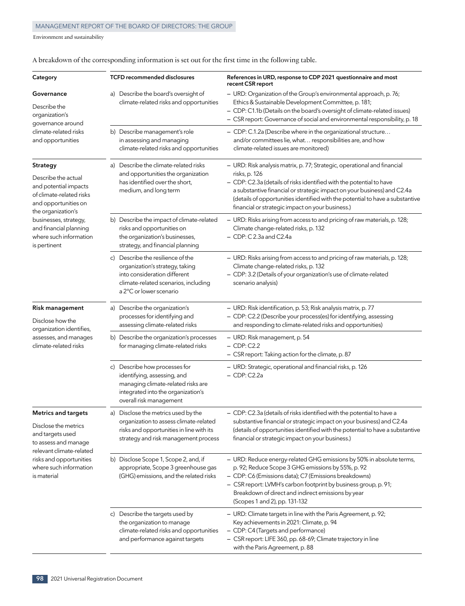| Category                                                                                                                           | <b>TCFD recommended disclosures</b>                                                                                                                                     | References in URD, response to CDP 2021 questionnaire and most<br>recent CSR report                                                                                                                                                                                                                                                                                               |
|------------------------------------------------------------------------------------------------------------------------------------|-------------------------------------------------------------------------------------------------------------------------------------------------------------------------|-----------------------------------------------------------------------------------------------------------------------------------------------------------------------------------------------------------------------------------------------------------------------------------------------------------------------------------------------------------------------------------|
| Governance<br>Describe the<br>organization's<br>governance around                                                                  | a) Describe the board's oversight of<br>climate-related risks and opportunities                                                                                         | - URD: Organization of the Group's environmental approach, p. 76;<br>Ethics & Sustainable Development Committee, p. 181;<br>- CDP: C1.1b (Details on the board's oversight of climate-related issues)<br>- CSR report: Governance of social and environmental responsibility, p. 18                                                                                               |
| climate-related risks<br>and opportunities                                                                                         | b) Describe management's role<br>in assessing and managing<br>climate-related risks and opportunities                                                                   | - CDP: C.1.2a (Describe where in the organizational structure<br>and/or committees lie, what responsibilities are, and how<br>climate-related issues are monitored)                                                                                                                                                                                                               |
| Strategy<br>Describe the actual<br>and potential impacts<br>of climate-related risks<br>and opportunities on<br>the organization's | a) Describe the climate-related risks<br>and opportunities the organization<br>has identified over the short,<br>medium, and long term                                  | - URD: Risk analysis matrix, p. 77; Strategic, operational and financial<br>risks, p. 126<br>- CDP: C2.3a (details of risks identified with the potential to have<br>a substantive financial or strategic impact on your business) and C2.4a<br>(details of opportunities identified with the potential to have a substantive<br>financial or strategic impact on your business.) |
| businesses, strategy,<br>and financial planning<br>where such information<br>is pertinent                                          | b) Describe the impact of climate-related<br>risks and opportunities on<br>the organization's businesses,<br>strategy, and financial planning                           | - URD: Risks arising from access to and pricing of raw materials, p. 128;<br>Climate change-related risks, p. 132<br>- CDP: C2.3a and C2.4a                                                                                                                                                                                                                                       |
|                                                                                                                                    | c) Describe the resilience of the<br>organization's strategy, taking<br>into consideration different<br>climate-related scenarios, including<br>a 2°C or lower scenario | - URD: Risks arising from access to and pricing of raw materials, p. 128;<br>Climate change-related risks, p. 132<br>- CDP: 3.2 (Details of your organization's use of climate-related<br>scenario analysis)                                                                                                                                                                      |
| <b>Risk management</b><br>Disclose how the<br>organization identifies,                                                             | a) Describe the organization's<br>processes for identifying and<br>assessing climate-related risks                                                                      | - URD: Risk identification, p. 53; Risk analysis matrix, p. 77<br>- CDP: C2.2 (Describe your process(es) for identifying, assessing<br>and responding to climate-related risks and opportunities)                                                                                                                                                                                 |
| assesses, and manages<br>climate-related risks                                                                                     | b) Describe the organization's processes<br>for managing climate-related risks                                                                                          | - URD: Risk management, p. 54<br>$-$ CDP: C2.2<br>- CSR report: Taking action for the climate, p. 87                                                                                                                                                                                                                                                                              |
|                                                                                                                                    | c) Describe how processes for<br>identifying, assessing, and<br>managing climate-related risks are<br>integrated into the organization's<br>overall risk management     | - URD: Strategic, operational and financial risks, p. 126<br>$-$ CDP: C2.2a                                                                                                                                                                                                                                                                                                       |
| <b>Metrics and targets</b>                                                                                                         | a) Disclose the metrics used by the                                                                                                                                     | – CDP: C2.3a (details of risks identified with the potential to have a                                                                                                                                                                                                                                                                                                            |
| Disclose the metrics<br>and targets used<br>to assess and manage                                                                   | organization to assess climate-related<br>risks and opportunities in line with its<br>strategy and risk management process                                              | substantive financial or strategic impact on your business) and C2.4a<br>(details of opportunities identified with the potential to have a substantive<br>financial or strategic impact on your business.)                                                                                                                                                                        |
| relevant climate-related<br>risks and opportunities<br>where such information<br>is material                                       | b) Disclose Scope 1, Scope 2, and, if<br>appropriate, Scope 3 greenhouse gas<br>(GHG) emissions, and the related risks                                                  | - URD: Reduce energy-related GHG emissions by 50% in absolute terms,<br>p. 92; Reduce Scope 3 GHG emissions by 55%, p. 92<br>- CDP: C6 (Emissions data); C7 (Emissions breakdowns)<br>- CSR report: LVMH's carbon footprint by business group, p. 91;<br>Breakdown of direct and indirect emissions by year<br>(Scopes 1 and 2), pp. 131-132                                      |
|                                                                                                                                    | c) Describe the targets used by<br>the organization to manage<br>climate-related risks and opportunities<br>and performance against targets                             | - URD: Climate targets in line with the Paris Agreement, p. 92;<br>Key achievements in 2021: Climate, p. 94<br>- CDP: C4 (Targets and performance)<br>- CSR report: LIFE 360, pp. 68-69; Climate trajectory in line<br>with the Paris Agreement, p. 88                                                                                                                            |

A breakdown of the corresponding information is set out for the first time in the following table.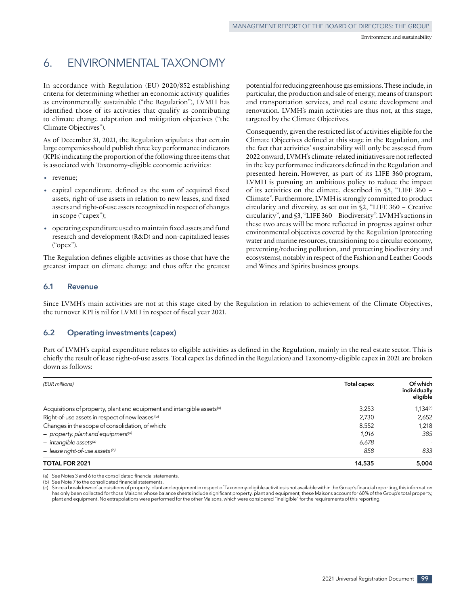# 6. ENVIRONMENTAL TAXONOMY

In accordance with Regulation (EU) 2020/852 establishing criteria for determining whether an economic activity qualifies as environmentally sustainable ("the Regulation"), LVMH has identified those of its activities that qualify as contributing to climate change adaptation and mitigation objectives ("the Climate Objectives").

As of December 31, 2021, the Regulation stipulates that certain large companies should publish three key performance indicators (KPIs) indicating the proportion of the following three items that is associated with Taxonomy-eligible economic activities:

- revenue:
- capital expenditure, defined as the sum of acquired fixed assets, right‑of‑use assets in relation to new leases, and fixed assets and right‑of‑use assets recognized in respect of changes in scope ("capex");
- operating expenditure used to maintain fixed assets and fund research and development (R&D) and non‑capitalized leases ("opex").

The Regulation defines eligible activities as those that have the greatest impact on climate change and thus offer the greatest potential for reducing greenhouse gas emissions. These include, in particular, the production and sale of energy, means of transport and transportation services, and real estate development and renovation. LVMH's main activities are thus not, at this stage, targeted by the Climate Objectives.

Consequently, given the restricted list of activities eligible for the Climate Objectives defined at this stage in the Regulation, and the fact that activities' sustainability will only be assessed from 2022 onward, LVMH's climate‑related initiatives are not reflected in the key performance indicators defined in the Regulation and presented herein. However, as part of its LIFE 360 program, LVMH is pursuing an ambitious policy to reduce the impact of its activities on the climate, described in §5, "LIFE 360 – Climate". Furthermore, LVMH is strongly committed to product circularity and diversity, as set out in §2, "LIFE 360 – Creative circularity", and §3, "LIFE 360 – Biodiversity". LVMH's actions in these two areas will be more reflected in progress against other environmental objectives covered by the Regulation (protecting water and marine resources, transitioning to a circular economy, preventing/reducing pollution, and protecting biodiversity and ecosystems), notably in respect of the Fashion and Leather Goods and Wines and Spirits business groups.

### **6.1 Revenue**

Since LVMH's main activities are not at this stage cited by the Regulation in relation to achievement of the Climate Objectives, the turnover KPI is nil for LVMH in respect of fiscal year 2021.

#### **6.2 Operating investments (capex)**

Part of LVMH's capital expenditure relates to eligible activities as defined in the Regulation, mainly in the real estate sector. This is chiefly the result of lease right‑of‑use assets. Total capex (as defined in the Regulation) and Taxonomy‑eligible capex in 2021 are broken down as follows:

| (EUR millions)                                                                     | <b>Total capex</b> | Of which<br>individually<br>eligible |
|------------------------------------------------------------------------------------|--------------------|--------------------------------------|
| Acquisitions of property, plant and equipment and intangible assets <sup>(a)</sup> | 3.253              | 1.134(c)                             |
| Right-of-use assets in respect of new leases (b)                                   | 2,730              | 2,652                                |
| Changes in the scope of consolidation, of which:                                   | 8.552              | 1.218                                |
| $-$ property, plant and equipment <sup>(a)</sup>                                   | 1.016              | 385                                  |
| $-$ intangible assets <sup>(a)</sup>                                               | 6,678              |                                      |
| $-$ lease right-of-use assets (b)                                                  | 858                | 833                                  |
| <b>TOTAL FOR 2021</b>                                                              | 14,535             | 5,004                                |

See Notes 3 and 6 to the consolidated financial statements.

(b) See Note 7 to the consolidated financial statements.

(c) Since a breakdown of acquisitions of property, plant and equipment in respect of Taxonomy‑eligible activities is not available within the Group's financial reporting, this information has only been collected for those Maisons whose balance sheets include significant property, plant and equipment; these Maisons account for 60% of the Group's total property, plant and equipment. No extrapolations were performed for the other Maisons, which were considered "ineligible" for the requirements of this reporting.